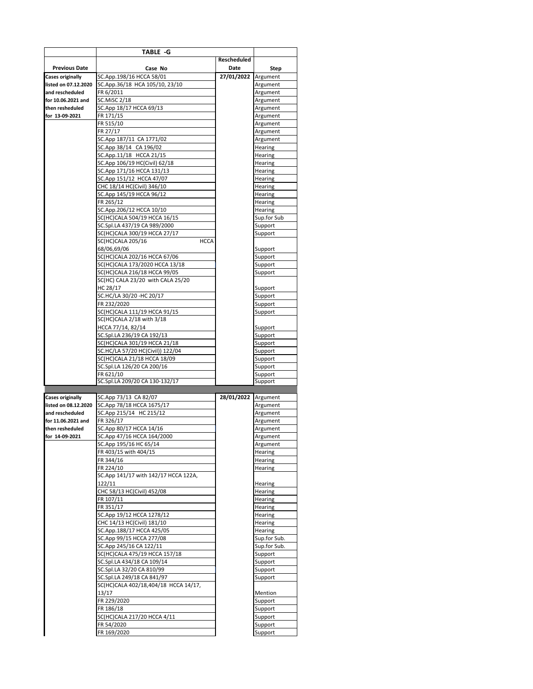|                                                 | TABLE -G                                                          |                     |                         |
|-------------------------------------------------|-------------------------------------------------------------------|---------------------|-------------------------|
| <b>Previous Date</b>                            | Case No                                                           | Rescheduled<br>Date | Step                    |
| <b>Cases originally</b>                         | SC.App.198/16 HCCA 58/01                                          | 27/01/2022 Argument |                         |
| listed on 07.12.2020                            | SC.App.36/18 HCA 105/10, 23/10                                    |                     | Argument                |
| and rescheduled                                 | FR 6/2011                                                         |                     | Argument                |
| for 10.06.2021 and                              | <b>SC.MiSC 2/18</b>                                               |                     | Argument                |
| then resheduled                                 | SC.App 18/17 HCCA 69/13                                           |                     | Argument                |
| for 13-09-2021                                  | FR 171/15<br>FR 515/10                                            |                     | Argument<br>Argument    |
|                                                 | FR 27/17                                                          |                     | Argument                |
|                                                 | SC.App 187/11 CA 1771/02                                          |                     | Argument                |
|                                                 | SC.App 38/14 CA 196/02                                            |                     | Hearing                 |
|                                                 | SC.App.11/18 HCCA 21/15                                           |                     | Hearing                 |
|                                                 | SC.App 106/19 HC(Civil) 62/18                                     |                     | Hearing                 |
|                                                 | SC.App 171/16 HCCA 131/13                                         |                     | Hearing                 |
|                                                 | SC.App 151/12 HCCA 47/07                                          |                     | Hearing                 |
|                                                 | CHC 18/14 HC(Civil) 346/10                                        |                     | Hearing                 |
|                                                 | SC.App 145/19 HCCA 96/12                                          |                     | Hearing                 |
|                                                 | FR 265/12                                                         |                     | Hearing                 |
|                                                 | SC.App.206/12 HCCA 10/10<br>SC(HC)CALA 504/19 HCCA 16/15          |                     | Hearing<br>Sup.for Sub  |
|                                                 | SC.Spl.LA 437/19 CA 989/2000                                      |                     | Support                 |
|                                                 | SC(HC)CALA 300/19 HCCA 27/17                                      |                     | Support                 |
|                                                 | <b>HCCA</b><br>SC(HC)CALA 205/16                                  |                     |                         |
|                                                 | 68/06,69/06                                                       |                     | Support                 |
|                                                 | SC(HC)CALA 202/16 HCCA 67/06                                      |                     | Support                 |
|                                                 | SC(HC)CALA 173/2020 HCCA 13/18                                    |                     | Support                 |
|                                                 | SC(HC)CALA 216/18 HCCA 99/05<br>SC(HC) CALA 23/20 with CALA 25/20 |                     | Support                 |
|                                                 | HC 28/17                                                          |                     | Support                 |
|                                                 | SC.HC/LA 30/20 -HC 20/17                                          |                     | Support                 |
|                                                 | FR 232/2020                                                       |                     | Support                 |
|                                                 | SC(HC)CALA 111/19 HCCA 91/15                                      |                     | Support                 |
|                                                 | SC(HC)CALA 2/18 with 3/18                                         |                     |                         |
|                                                 | HCCA 77/14, 82/14                                                 |                     | Support                 |
|                                                 | SC.Spl.LA 236/19 CA 192/13<br>SC(HC)CALA 301/19 HCCA 21/18        |                     | Support                 |
|                                                 |                                                                   |                     |                         |
|                                                 |                                                                   |                     | Support                 |
|                                                 | SC.HC/LA 57/20 HC(Civil)) 122/04                                  |                     | Support                 |
|                                                 | SC(HC)CALA 21/18 HCCA 18/09<br>SC.Spl.LA 126/20 CA 200/16         |                     | Support<br>Support      |
|                                                 | FR 621/10                                                         |                     | Support                 |
|                                                 | SC.Spl.LA 209/20 CA 130-132/17                                    |                     | Support                 |
|                                                 |                                                                   |                     |                         |
| <b>Cases originally</b><br>listed on 08.12.2020 | SC.App 73/13 CA 82/07<br>SC.App 78/18 HCCA 1675/17                | 28/01/2022          | Argument<br>Argument    |
| and rescheduled                                 | SC.App 215/14 HC 215/12                                           |                     | Argument                |
| for 11.06.2021 and                              | FR 326/17                                                         |                     | Argument                |
| then resheduled                                 | SC.App 80/17 HCCA 14/16                                           |                     | Argument                |
| for 14-09-2021                                  | SC.App 47/16 HCCA 164/2000                                        |                     | Argument                |
|                                                 | SC.App 195/16 HC 65/14                                            |                     | Argument                |
|                                                 | FR 403/15 with 404/15                                             |                     | Hearing                 |
|                                                 | FR 344/16<br>FR 224/10                                            |                     | Hearing                 |
|                                                 | SC.App 141/17 with 142/17 HCCA 122A,                              |                     | Hearing                 |
|                                                 | 122/11                                                            |                     | Hearing                 |
|                                                 | CHC 58/13 HC(Civil) 452/08                                        |                     | Hearing                 |
|                                                 | FR 107/11                                                         |                     | Hearing                 |
|                                                 | FR 351/17                                                         |                     | Hearing                 |
|                                                 | SC.App 19/12 HCCA 1278/12                                         |                     | Hearing                 |
|                                                 | CHC 14/13 HC(Civil) 181/10                                        |                     | Hearing                 |
|                                                 | SC.App.188/17 HCCA 425/05<br>SC.App 99/15 HCCA 277/08             |                     | Hearing<br>Sup.for Sub. |
|                                                 | SC.App 245/16 CA 122/11                                           |                     | Sup.for Sub.            |
|                                                 | SC(HC)CALA 475/19 HCCA 157/18                                     |                     | Support                 |
|                                                 | SC.Spl.LA 434/18 CA 109/14                                        |                     | Support                 |
|                                                 | SC.Spl.LA 32/20 CA 810/99                                         |                     | Support                 |
|                                                 | SC.Spl.LA 249/18 CA 841/97                                        |                     | Support                 |
|                                                 | SC(HC)CALA 402/18,404/18 HCCA 14/17,                              |                     |                         |
|                                                 | 13/17<br>FR 229/2020                                              |                     | Mention<br>Support      |
|                                                 | FR 186/18                                                         |                     | Support                 |
|                                                 | SC(HC)CALA 217/20 HCCA 4/11                                       |                     | Support                 |
|                                                 | FR 54/2020<br>FR 169/2020                                         |                     | Support<br>Support      |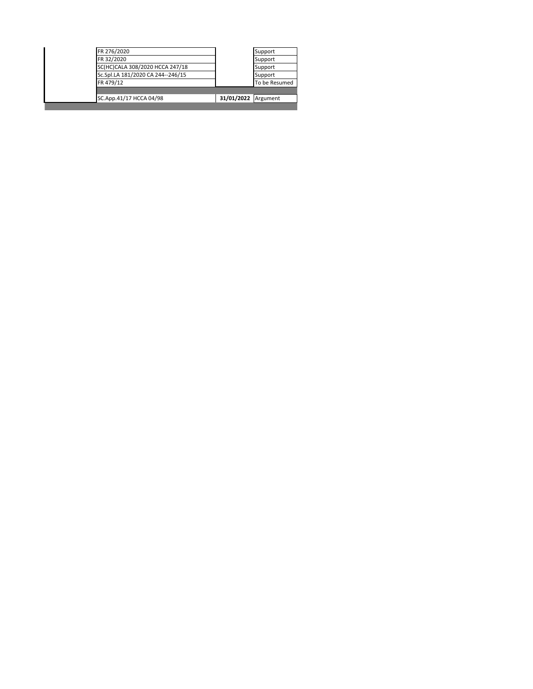| FR 276/2020                       |                     | Support       |
|-----------------------------------|---------------------|---------------|
| FR 32/2020                        |                     | Support       |
| SC(HC)CALA 308/2020 HCCA 247/18   |                     | Support       |
| Sc.Spl.LA 181/2020 CA 244--246/15 |                     | Support       |
| FR 479/12                         |                     | To be Resumed |
|                                   |                     |               |
| SC.App.41/17 HCCA 04/98           | 31/01/2022 Argument |               |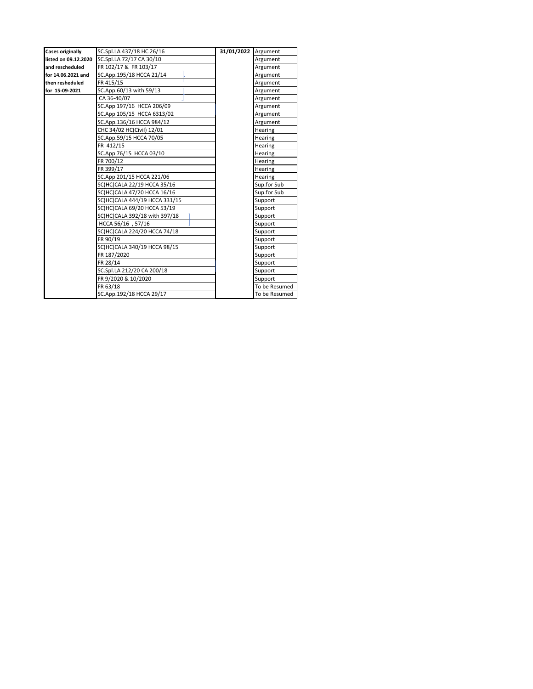| <b>Cases originally</b> | SC.Spl.LA 437/18 HC 26/16     | 31/01/2022 Argument |               |
|-------------------------|-------------------------------|---------------------|---------------|
| listed on 09.12.2020    | SC.Spl.LA 72/17 CA 30/10      |                     | Argument      |
| and rescheduled         | FR 102/17 & FR 103/17         |                     | Argument      |
| for 14.06.2021 and      | SC.App.195/18 HCCA 21/14      |                     | Argument      |
| then resheduled         | FR 415/15                     |                     | Argument      |
| for 15-09-2021          | SC.App.60/13 with 59/13       |                     | Argument      |
|                         | CA 36-40/07                   |                     | Argument      |
|                         | SC.App 197/16 HCCA 206/09     |                     | Argument      |
|                         | SC.App 105/15 HCCA 6313/02    |                     | Argument      |
|                         | SC.App.136/16 HCCA 984/12     |                     | Argument      |
|                         | CHC 34/02 HC(Civil) 12/01     |                     | Hearing       |
|                         | SC.App.59/15 HCCA 70/05       |                     | Hearing       |
|                         | FR 412/15                     |                     | Hearing       |
|                         | SC.App 76/15 HCCA 03/10       |                     | Hearing       |
|                         | FR 700/12                     |                     | Hearing       |
|                         | FR 399/17                     |                     | Hearing       |
|                         | SC.App 201/15 HCCA 221/06     |                     | Hearing       |
|                         | SC(HC)CALA 22/19 HCCA 35/16   |                     | Sup.for Sub   |
|                         | SC(HC)CALA 47/20 HCCA 16/16   |                     | Sup.for Sub   |
|                         | SC(HC)CALA 444/19 HCCA 331/15 |                     | Support       |
|                         | SC(HC)CALA 69/20 HCCA 53/19   |                     | Support       |
|                         | SC(HC)CALA 392/18 with 397/18 |                     | Support       |
|                         | HCCA 56/16, 57/16             |                     | Support       |
|                         | SC(HC)CALA 224/20 HCCA 74/18  |                     | Support       |
|                         | FR 90/19                      |                     | Support       |
|                         | SC(HC)CALA 340/19 HCCA 98/15  |                     | Support       |
|                         | FR 187/2020                   |                     | Support       |
|                         | FR 28/14                      |                     | Support       |
|                         | SC.Spl.LA 212/20 CA 200/18    |                     | Support       |
|                         | FR 9/2020 & 10/2020           |                     | Support       |
|                         | FR 63/18                      |                     | To be Resumed |
|                         | SC.App.192/18 HCCA 29/17      |                     | To be Resumed |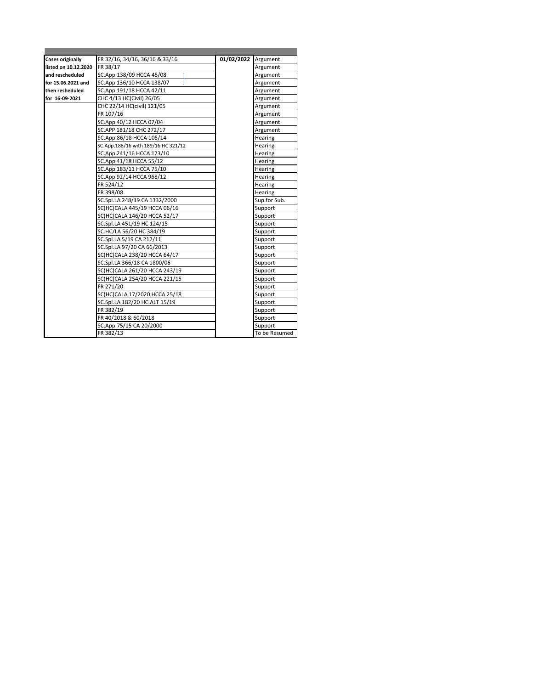| <b>Cases originally</b> | FR 32/16, 34/16, 36/16 & 33/16      | 01/02/2022 | Argument       |
|-------------------------|-------------------------------------|------------|----------------|
| listed on 10.12.2020    | FR 38/17                            |            | Argument       |
| and rescheduled         | SC.App.138/09 HCCA 45/08            |            | Argument       |
| for 15.06.2021 and      | SC.App 136/10 HCCA 138/07           |            | Argument       |
| then resheduled         | SC.App 191/18 HCCA 42/11            |            | Argument       |
| for 16-09-2021          | CHC 4/13 HC(Civil) 26/05            |            | Argument       |
|                         | CHC 22/14 HC(civil) 121/05          |            | Argument       |
|                         | FR 107/16                           |            | Argument       |
|                         | SC.App 40/12 HCCA 07/04             |            | Argument       |
|                         | SC.APP 181/18 CHC 272/17            |            | Argument       |
|                         | SC.App.86/18 HCCA 105/14            |            | Hearing        |
|                         | SC.App.188/16 with 189/16 HC 321/12 |            | <b>Hearing</b> |
|                         | SC.App 241/16 HCCA 173/10           |            | Hearing        |
|                         | SC.App 41/18 HCCA 55/12             |            | <b>Hearing</b> |
|                         | SC.App 183/11 HCCA 75/10            |            | <b>Hearing</b> |
|                         | SC.App 92/14 HCCA 968/12            |            | <b>Hearing</b> |
|                         | FR 524/12                           |            | <b>Hearing</b> |
|                         | FR 398/08                           |            | <b>Hearing</b> |
|                         | SC.Spl.LA 248/19 CA 1332/2000       |            | Sup.for Sub.   |
|                         | SC(HC)CALA 445/19 HCCA 06/16        |            | Support        |
|                         | SC(HC)CALA 146/20 HCCA 52/17        |            | Support        |
|                         | SC.Spl.LA 451/19 HC 124/15          |            | Support        |
|                         | SC.HC/LA 56/20 HC 384/19            |            | Support        |
|                         | SC.Spl.LA 5/19 CA 212/11            |            | Support        |
|                         | SC.Spl.LA 97/20 CA 66/2013          |            | Support        |
|                         | SC(HC)CALA 238/20 HCCA 64/17        |            | Support        |
|                         | SC.Spl.LA 366/18 CA 1800/06         |            | Support        |
|                         | SC(HC)CALA 261/20 HCCA 243/19       |            | Support        |
|                         | SC(HC)CALA 254/20 HCCA 221/15       |            | Support        |
|                         | FR 271/20                           |            | Support        |
|                         | SC(HC)CALA 17/2020 HCCA 25/18       |            | Support        |
|                         | SC.Spl.LA 182/20 HC.ALT 15/19       |            | Support        |
|                         | FR 382/19                           |            | Support        |
|                         | FR 40/2018 & 60/2018                |            | Support        |
|                         | SC.App.75/15 CA 20/2000             |            | Support        |
|                         | FR 382/13                           |            | To be Resumed  |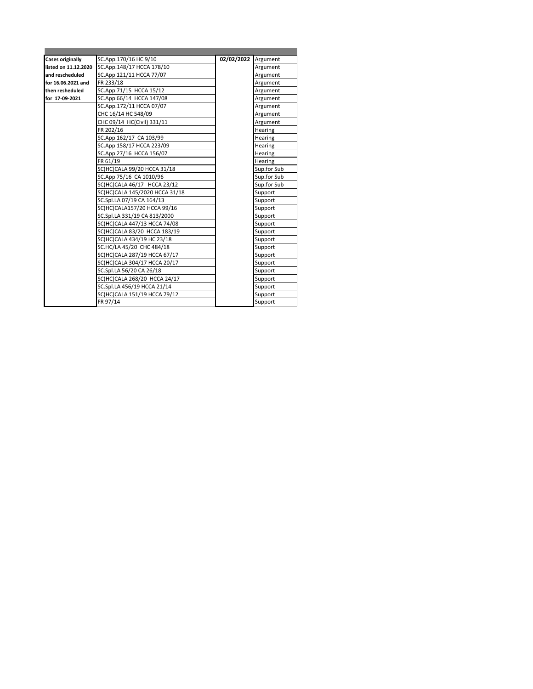| <b>Cases originally</b> | SC.App.170/16 HC 9/10          | 02/02/2022 | Argument    |
|-------------------------|--------------------------------|------------|-------------|
| listed on 11.12.2020    | SC.App.148/17 HCCA 178/10      |            | Argument    |
| and rescheduled         | SC.App 121/11 HCCA 77/07       |            | Argument    |
| for 16.06.2021 and      | FR 233/18                      |            | Argument    |
| then resheduled         | SC.App 71/15 HCCA 15/12        |            | Argument    |
| for 17-09-2021          | SC.App 66/14 HCCA 147/08       |            | Argument    |
|                         | SC.App.172/11 HCCA 07/07       |            | Argument    |
|                         | CHC 16/14 HC 548/09            |            | Argument    |
|                         | CHC 09/14 HC(Civil) 331/11     |            | Argument    |
|                         | FR 202/16                      |            | Hearing     |
|                         | SC.App 162/17 CA 103/99        |            | Hearing     |
|                         | SC.App 158/17 HCCA 223/09      |            | Hearing     |
|                         | SC.App 27/16 HCCA 156/07       |            | Hearing     |
|                         | FR 61/19                       |            | Hearing     |
|                         | SC(HC)CALA 99/20 HCCA 31/18    |            | Sup.for Sub |
|                         | SC.App 75/16 CA 1010/96        |            | Sup for Sub |
|                         | SC(HC)CALA 46/17 HCCA 23/12    |            | Sup.for Sub |
|                         | SC(HC)CALA 145/2020 HCCA 31/18 |            | Support     |
|                         | SC.Spl.LA 07/19 CA 164/13      |            | Support     |
|                         | SC(HC)CALA157/20 HCCA 99/16    |            | Support     |
|                         | SC.Spl.LA 331/19 CA 813/2000   |            | Support     |
|                         | SC(HC)CALA 447/13 HCCA 74/08   |            | Support     |
|                         | SC(HC)CALA 83/20 HCCA 183/19   |            | Support     |
|                         | SC(HC)CALA 434/19 HC 23/18     |            | Support     |
|                         | SC.HC/LA 45/20 CHC 484/18      |            | Support     |
|                         | SC(HC)CALA 287/19 HCCA 67/17   |            | Support     |
|                         | SC(HC)CALA 304/17 HCCA 20/17   |            | Support     |
|                         | SC.Spl.LA 56/20 CA 26/18       |            | Support     |
|                         | SC(HC)CALA 268/20 HCCA 24/17   |            | Support     |
|                         | SC.Spl.LA 456/19 HCCA 21/14    |            | Support     |
|                         | SC(HC)CALA 151/19 HCCA 79/12   |            | Support     |
|                         | FR 97/14                       |            | Support     |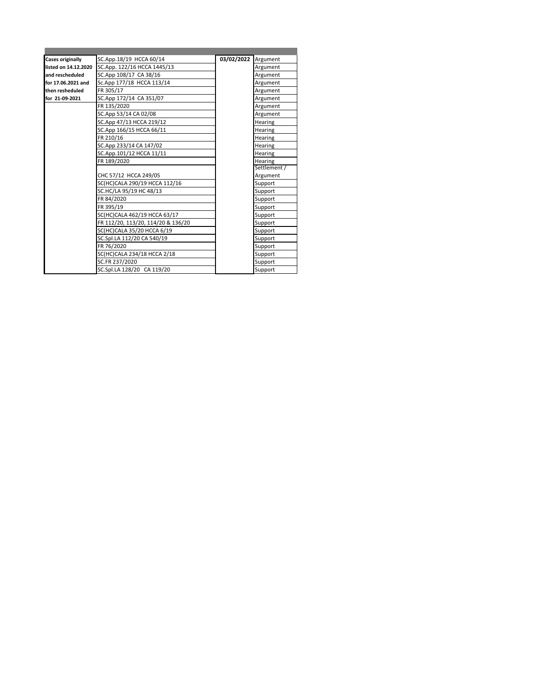| <b>Cases originally</b> | SC.App.18/19 HCCA 60/14            | 03/02/2022 | Argument     |
|-------------------------|------------------------------------|------------|--------------|
| listed on 14.12.2020    | SC.App. 122/16 HCCA 1445/13        |            | Argument     |
| and rescheduled         | SC.App 108/17 CA 38/16             |            | Argument     |
| for 17.06.2021 and      | Sc.App 177/18 HCCA 113/14          |            | Argument     |
| then resheduled         | FR 305/17                          |            | Argument     |
| for 21-09-2021          | SC.App 172/14 CA 351/07            |            | Argument     |
|                         | FR 135/2020                        |            | Argument     |
|                         | SC.App 53/14 CA 02/08              |            | Argument     |
|                         | SC.App 47/13 HCCA 219/12           |            | Hearing      |
|                         | SC.App 166/15 HCCA 66/11           |            | Hearing      |
|                         | FR 210/16                          |            | Hearing      |
|                         | SC.App 233/14 CA 147/02            |            | Hearing      |
|                         | SC.App.101/12 HCCA 11/11           |            | Hearing      |
|                         | FR 189/2020                        |            | Hearing      |
|                         |                                    |            | Settlement / |
|                         | CHC 57/12 HCCA 249/05              |            | Argument     |
|                         | SC(HC)CALA 290/19 HCCA 112/16      |            | Support      |
|                         | SC.HC/LA 95/19 HC 48/13            |            | Support      |
|                         | FR 84/2020                         |            | Support      |
|                         | FR 395/19                          |            | Support      |
|                         | SC(HC)CALA 462/19 HCCA 63/17       |            | Support      |
|                         | FR 112/20, 113/20, 114/20 & 136/20 |            | Support      |
|                         | SC(HC)CALA 35/20 HCCA 6/19         |            | Support      |
|                         | SC.Spl.LA 112/20 CA 540/19         |            | Support      |
|                         | FR 76/2020                         |            | Support      |
|                         | SC(HC)CALA 234/18 HCCA 2/18        |            | Support      |
|                         | SC.FR 237/2020                     |            | Support      |
|                         | SC.Spl.LA 128/20 CA 119/20         |            | Support      |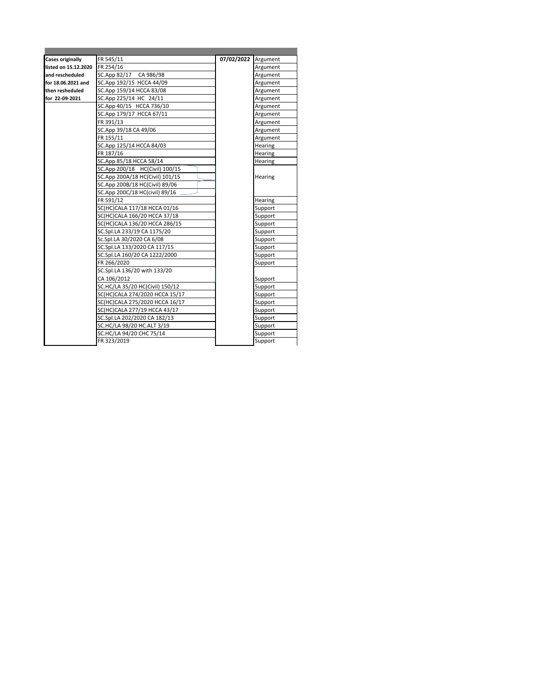| <b>Cases originally</b> | FR 545/11                       | 07/02/2022 | Argument |
|-------------------------|---------------------------------|------------|----------|
| listed on 15.12.2020    | FR 254/16                       |            | Argument |
| and rescheduled         | SC.App 82/17 CA 986/98          |            | Argument |
| for 18.06.2021 and      | SC.App 192/15 HCCA 44/09        |            | Argument |
| then resheduled         | SC.App 159/14 HCCA 83/08        |            | Argument |
| for 22-09-2021          | SC.App 225/14 HC 24/11          |            | Argument |
|                         | SC.App 40/15 HCCA 736/10        |            | Argument |
|                         | SC.App 179/17 HCCA 67/11        |            | Argument |
|                         | FR 391/13                       |            | Argument |
|                         | SC.App 39/18 CA 49/06           |            | Argument |
|                         | FR 155/11                       |            | Argument |
|                         | SC.App 125/14 HCCA 84/03        |            | Hearing  |
|                         | FR 187/16                       |            | Hearing  |
|                         | SC.App 85/18 HCCA 58/14         |            | Hearing  |
|                         | SC.App 200/18 HC(Civil) 100/15  |            |          |
|                         | SC.App 200A/18 HC(Civil) 101/15 |            | Hearing  |
|                         | SC.App 200B/18 HC(Civil) 89/06  |            |          |
|                         | SC.App 200C/18 HC(civil) 89/16  |            |          |
|                         | FR 591/12                       |            | Hearing  |
|                         | SC(HC)CALA 117/18 HCCA 01/16    |            | Support  |
|                         | SC(HC)CALA 166/20 HCCA 37/18    |            | Support  |
|                         | SC(HC)CALA 136/20 HCCA 286/15   |            | Support  |
|                         | SC.Spl.LA 233/19 CA 1175/20     |            | Support  |
|                         | Sc.Spl.LA 30/2020 CA 6/08       |            | Support  |
|                         | SC.Spl.LA 133/2020 CA 117/15    |            | Support  |
|                         | SC.Spl.LA 160/20 CA 1222/2000   |            | Support  |
|                         | FR 266/2020                     |            | Support  |
|                         | SC.Spl.LA 136/20 with 133/20    |            |          |
|                         | CA 106/2012                     |            | Support  |
|                         | SC.HC/LA 35/20 HC(Civil) 150/12 |            | Support  |
|                         | SC(HC)CALA 274/2020 HCCA 15/17  |            | Support  |
|                         | SC(HC)CALA 275/2020 HCCA 16/17  |            | Support  |
|                         | SC(HC)CALA 277/19 HCCA 43/17    |            | Support  |
|                         | SC.Spl.LA 202/2020 CA 182/13    |            | Support  |
|                         | SC.HC/LA 98/20 HC.ALT 3/19      |            | Support  |
|                         | SC.HC/LA 94/20 CHC 75/14        |            | Support  |
|                         | FR 323/2019                     |            | Support  |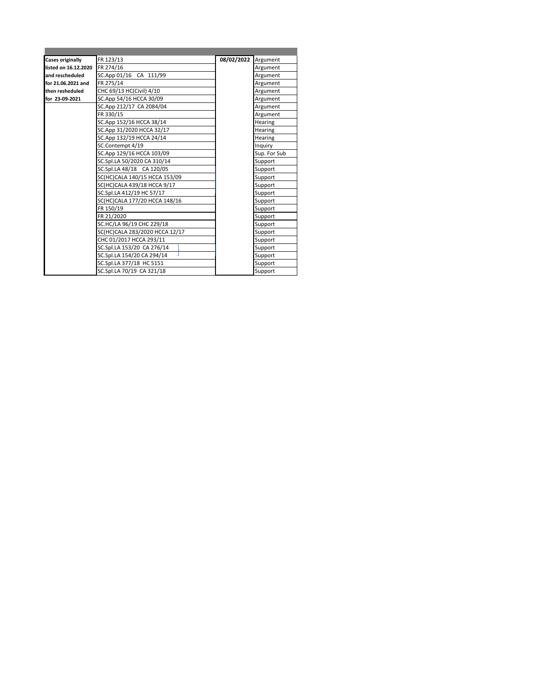| <b>Cases originally</b> | FR 123/13                      | 08/02/2022 | Argument     |
|-------------------------|--------------------------------|------------|--------------|
| listed on 16.12.2020    | FR 274/16                      |            | Argument     |
| and rescheduled         | SC.App 01/16 CA 111/99         |            | Argument     |
| for 21.06.2021 and      | FR 275/14                      |            | Argument     |
| then resheduled         | CHC 69/13 HC(Civil) 4/10       |            | Argument     |
| for 23-09-2021          | SC.App 54/16 HCCA 30/09        |            | Argument     |
|                         | SC.App 212/17 CA 2084/04       |            | Argument     |
|                         | FR 330/15                      |            | Argument     |
|                         | SC.App 152/16 HCCA 38/14       |            | Hearing      |
|                         | SC.App 31/2020 HCCA 32/17      |            | Hearing      |
|                         | SC.App 132/19 HCCA 24/14       |            | Hearing      |
|                         | SC.Contempt 4/19               |            | Inquiry      |
|                         | SC.App 129/16 HCCA 103/09      |            | Sup. For Sub |
|                         | SC.Spl.LA 50/2020 CA 310/14    |            | Support      |
|                         | SC.Spl.LA 48/18 CA 120/05      |            | Support      |
|                         | SC(HC)CALA 140/15 HCCA 153/09  |            | Support      |
|                         | SC(HC)CALA 439/18 HCCA 9/17    |            | Support      |
|                         | SC.Spl.LA 412/19 HC 57/17      |            | Support      |
|                         | SC(HC)CALA 177/20 HCCA 148/16  |            | Support      |
|                         | FR 150/19                      |            | Support      |
|                         | FR 21/2020                     |            | Support      |
|                         | SC.HC/LA 96/19 CHC 229/18      |            | Support      |
|                         | SC(HC)CALA 283/2020 HCCA 12/17 |            | Support      |
|                         | CHC 01/2017 HCCA 293/11        |            | Support      |
|                         | SC.Spl.LA 153/20 CA 276/14     |            | Support      |
|                         | SC.Spl.LA 154/20 CA 294/14     |            | Support      |
|                         | SC.Spl.LA 377/18 HC 5151       |            | Support      |
|                         | SC.Spl.LA 70/19 CA 321/18      |            | Support      |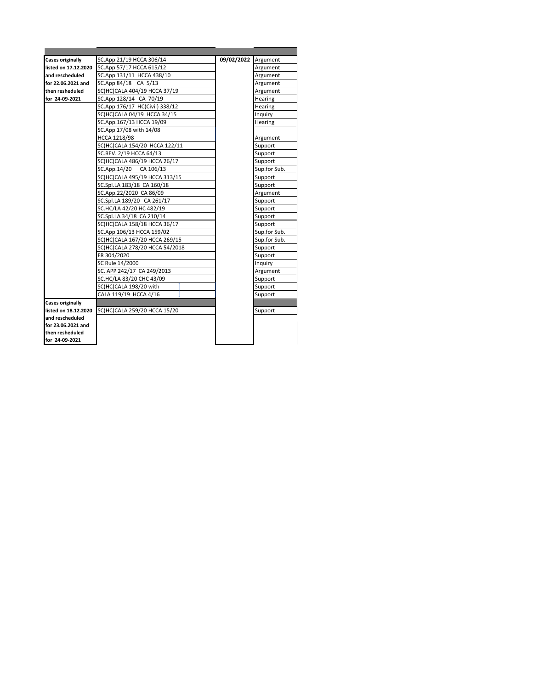| <b>Cases originally</b> | SC.App 21/19 HCCA 306/14       | 09/02/2022 | Argument     |
|-------------------------|--------------------------------|------------|--------------|
| listed on 17.12.2020    | SC.App 57/17 HCCA 615/12       |            | Argument     |
| and rescheduled         | SC.App 131/11 HCCA 438/10      |            | Argument     |
| for 22.06.2021 and      | SC.App 84/18 CA 5/13           |            | Argument     |
| then resheduled         | SC(HC)CALA 404/19 HCCA 37/19   |            | Argument     |
| for 24-09-2021          | SC.App 128/14 CA 70/19         |            | Hearing      |
|                         | SC.App 176/17 HC(Civil) 338/12 |            | Hearing      |
|                         | SC(HC)CALA 04/19 HCCA 34/15    |            | Inquiry      |
|                         | SC.App.167/13 HCCA 19/09       |            | Hearing      |
|                         | SC.App 17/08 with 14/08        |            |              |
|                         | HCCA 1218/98                   |            | Argument     |
|                         | SC(HC)CALA 154/20 HCCA 122/11  |            | Support      |
|                         | SC.REV. 2/19 HCCA 64/13        |            | Support      |
|                         | SC(HC)CALA 486/19 HCCA 26/17   |            | Support      |
|                         | SC.App.14/20 CA 106/13         |            | Sup.for Sub. |
|                         | SC(HC)CALA 495/19 HCCA 313/15  |            | Support      |
|                         | SC.Spl.LA 183/18 CA 160/18     |            | Support      |
|                         | SC.App.22/2020 CA 86/09        |            | Argument     |
|                         | SC.Spl.LA 189/20 CA 261/17     |            | Support      |
|                         | SC.HC/LA 42/20 HC 482/19       |            | Support      |
|                         | SC.Spl.LA 34/18 CA 210/14      |            | Support      |
|                         | SC(HC)CALA 158/18 HCCA 36/17   |            | Support      |
|                         | SC.App 106/13 HCCA 159/02      |            | Sup.for Sub. |
|                         | SC(HC)CALA 167/20 HCCA 269/15  |            | Sup.for Sub. |
|                         | SC(HC)CALA 278/20 HCCA 54/2018 |            | Support      |
|                         | FR 304/2020                    |            | Support      |
|                         | SC Rule 14/2000                |            | Inquiry      |
|                         | SC. APP 242/17 CA 249/2013     |            | Argument     |
|                         | SC.HC/LA 83/20 CHC 43/09       |            | Support      |
|                         | SC(HC)CALA 198/20 with         |            | Support      |
|                         | CALA 119/19 HCCA 4/16          |            | Support      |
| <b>Cases originally</b> |                                |            |              |
| listed on 18.12.2020    | SC(HC)CALA 259/20 HCCA 15/20   |            | Support      |
| and rescheduled         |                                |            |              |
| for 23.06.2021 and      |                                |            |              |
| then resheduled         |                                |            |              |
| for 24-09-2021          |                                |            |              |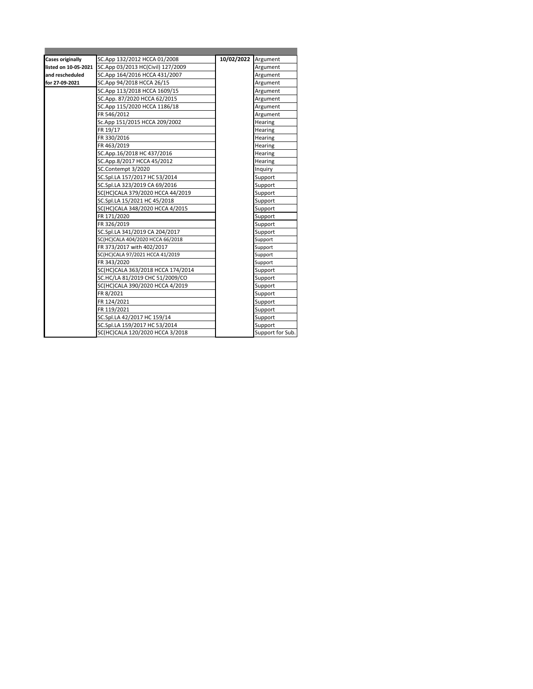| <b>Cases originally</b> | SC.App 132/2012 HCCA 01/2008      | 10/02/2022 | Argument         |
|-------------------------|-----------------------------------|------------|------------------|
| listed on 10-05-2021    | SC.App 03/2013 HC(Civil) 127/2009 |            | Argument         |
| and rescheduled         | SC.App 164/2016 HCCA 431/2007     |            | Argument         |
| for 27-09-2021          | SC.App 94/2018 HCCA 26/15         |            | Argument         |
|                         | SC.App 113/2018 HCCA 1609/15      |            | Argument         |
|                         | SC.App. 87/2020 HCCA 62/2015      |            | Argument         |
|                         | SC.App 115/2020 HCCA 1186/18      |            | Argument         |
|                         | FR 546/2012                       |            | Argument         |
|                         | Sc.App 151/2015 HCCA 209/2002     |            | Hearing          |
|                         | FR 19/17                          |            | Hearing          |
|                         | FR 330/2016                       |            | Hearing          |
|                         | FR 463/2019                       |            | Hearing          |
|                         | SC.App.16/2018 HC 437/2016        |            | Hearing          |
|                         | SC.App.8/2017 HCCA 45/2012        |            | Hearing          |
|                         | SC.Contempt 3/2020                |            | Inquiry          |
|                         | SC.Spl.LA 157/2017 HC 53/2014     |            | Support          |
|                         | SC.Spl.LA 323/2019 CA 69/2016     |            | Support          |
|                         | SC(HC)CALA 379/2020 HCCA 44/2019  |            | Support          |
|                         | SC.Spl.LA 15/2021 HC 45/2018      |            | Support          |
|                         | SC(HC)CALA 348/2020 HCCA 4/2015   |            | Support          |
|                         | FR 171/2020                       |            | Support          |
|                         | FR 326/2019                       |            | Support          |
|                         | SC.Spl.LA 341/2019 CA 204/2017    |            | Support          |
|                         | SC(HC)CALA 404/2020 HCCA 66/2018  |            | Support          |
|                         | FR 373/2017 with 402/2017         |            | Support          |
|                         | SC(HC)CALA 97/2021 HCCA 41/2019   |            | Support          |
|                         | FR 343/2020                       |            | Support          |
|                         | SC(HC)CALA 363/2018 HCCA 174/2014 |            | Support          |
|                         | SC.HC/LA 81/2019 CHC 51/2009/CO   |            | Support          |
|                         | SC(HC)CALA 390/2020 HCCA 4/2019   |            | Support          |
|                         | FR 8/2021                         |            | Support          |
|                         | FR 124/2021                       |            | Support          |
|                         | FR 119/2021                       |            | Support          |
|                         | SC.Spl.LA 42/2017 HC 159/14       |            | Support          |
|                         | SC.Spl.LA 159/2017 HC 53/2014     |            | Support          |
|                         | SC(HC)CALA 120/2020 HCCA 3/2018   |            | Support for Sub. |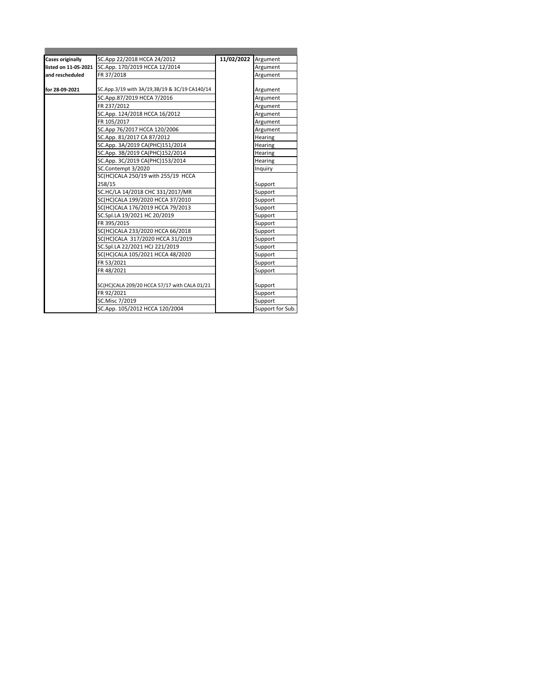| <b>Cases originally</b> | SC.App 22/2018 HCCA 24/2012                   | 11/02/2022 | Argument         |
|-------------------------|-----------------------------------------------|------------|------------------|
| listed on 11-05-2021    | SC.App. 170/2019 HCCA 12/2014                 |            | Argument         |
| and rescheduled         | FR 37/2018                                    |            | Argument         |
| for 28-09-2021          | SC.App.3/19 with 3A/19,3B/19 & 3C/19 CA140/14 |            | Argument         |
|                         | SC.App.87/2019 HCCA 7/2016                    |            | Argument         |
|                         | FR 237/2012                                   |            | Argument         |
|                         | SC.App. 124/2018 HCCA 16/2012                 |            | Argument         |
|                         | FR 105/2017                                   |            | Argument         |
|                         | SC.App 76/2017 HCCA 120/2006                  |            | Argument         |
|                         | SC.App. 81/2017 CA 87/2012                    |            | Hearing          |
|                         | SC.App. 3A/2019 CA(PHC)151/2014               |            | Hearing          |
|                         | SC.App. 3B/2019 CA(PHC)152/2014               |            | Hearing          |
|                         | SC.App. 3C/2019 CA(PHC)153/2014               |            | Hearing          |
|                         | SC.Contempt 3/2020                            |            | Inquiry          |
|                         | SC(HC)CALA 250/19 with 255/19 HCCA            |            |                  |
|                         | 258/15                                        |            | Support          |
|                         | SC.HC/LA 14/2018 CHC 331/2017/MR              |            | Support          |
|                         | SC(HC)CALA 199/2020 HCCA 37/2010              |            | Support          |
|                         | SC(HC)CALA 176/2019 HCCA 79/2013              |            | Support          |
|                         | SC.Spl.LA 19/2021 HC 20/2019                  |            | Support          |
|                         | FR 395/2015                                   |            | Support          |
|                         | SC(HC)CALA 233/2020 HCCA 66/2018              |            | Support          |
|                         | SC(HC)CALA 317/2020 HCCA 31/2019              |            | Support          |
|                         | SC.Spl.LA 22/2021 HCJ 221/2019                |            | Support          |
|                         | SC(HC)CALA 105/2021 HCCA 48/2020              |            | Support          |
|                         | FR 53/2021                                    |            | Support          |
|                         | FR48/2021                                     |            | Support          |
|                         | SC(HC)CALA 209/20 HCCA 57/17 with CALA 01/21  |            | Support          |
|                         | FR 92/2021                                    |            | Support          |
|                         | SC.Misc 7/2019                                |            | Support          |
|                         | SC.App. 105/2012 HCCA 120/2004                |            | Support for Sub. |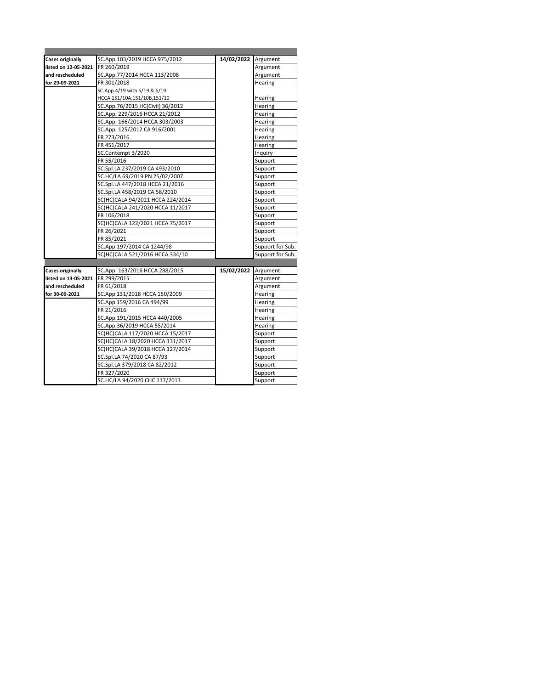| <b>Cases originally</b> | SC.App.103/2019 HCCA 975/2012    | 14/02/2022 Argument |                  |
|-------------------------|----------------------------------|---------------------|------------------|
| listed on 12-05-2021    | FR 260/2019                      |                     | Argument         |
| and rescheduled         | SC.App.77/2014 HCCA 113/2008     |                     | Argument         |
| for 29-09-2021          | FR 301/2018                      |                     | Hearing          |
|                         | SC.App.4/19 with 5/19 & 6/19     |                     |                  |
|                         | HCCA 151/10A,151/10B,151/10      |                     | Hearing          |
|                         | SC.App.76/2015 HC(Civil) 36/2012 |                     | Hearing          |
|                         | SC.App. 229/2016 HCCA 21/2012    |                     | Hearing          |
|                         | SC.App. 166/2014 HCCA 303/2003   |                     | Hearing          |
|                         | SC.App. 125/2012 CA 916/2001     |                     | Hearing          |
|                         | FR 273/2016                      |                     | Hearing          |
|                         | FR 451/2017                      |                     | Hearing          |
|                         | SC.Contempt 3/2020               |                     | Inquiry          |
|                         | FR 55/2016                       |                     | Support          |
|                         | SC.Spl.LA 237/2019 CA 493/2010   |                     | Support          |
|                         | SC.HC/LA 69/2019 PN 25/02/2007   |                     | Support          |
|                         | SC.Spl.LA 447/2018 HCCA 21/2016  |                     | Support          |
|                         | SC.Spl.LA 458/2019 CA 58/2010    |                     | Support          |
|                         | SC(HC)CALA 94/2021 HCCA 224/2014 |                     | Support          |
|                         | SC(HC)CALA 241/2020 HCCA 11/2017 |                     | Support          |
|                         | FR 106/2018                      |                     | Support          |
|                         | SC(HC)CALA 122/2021 HCCA 75/2017 |                     | Support          |
|                         | FR 26/2021                       |                     | Support          |
|                         | FR 85/2021                       |                     | Support          |
|                         | SC.App.197/2014 CA 1244/98       |                     | Support for Sub. |
|                         | SC(HC)CALA 521/2016 HCCA 334/10  |                     | Support for Sub. |
|                         |                                  |                     |                  |
| <b>Cases originally</b> | SC.App. 163/2016 HCCA 288/2015   | 15/02/2022          | Argument         |
| listed on 13-05-2021    | FR 299/2015                      |                     | Argument         |
| and rescheduled         | FR 61/2018                       |                     | Argument         |
| for 30-09-2021          | SC.App 131/2018 HCCA 150/2009    |                     | Hearing          |
|                         | SC.App 159/2016 CA 494/99        |                     | Hearing          |
|                         | FR 21/2016                       |                     | Hearing          |
|                         | SC.App.191/2015 HCCA 440/2005    |                     | Hearing          |
|                         | SC.App.36/2019 HCCA 55/2014      |                     | Hearing          |
|                         | SC(HC)CALA 117/2020 HCCA 15/2017 |                     | Support          |
|                         | SC(HC)CALA 18/2020 HCCA 131/2017 |                     | Support          |
|                         | SC(HC)CALA 39/2018 HCCA 127/2014 |                     | Support          |
|                         | SC.Spl.LA 74/2020 CA 87/93       |                     | Support          |
|                         | SC.Spl.LA 379/2018 CA 82/2012    |                     | Support          |
|                         | FR 327/2020                      |                     | Support          |
|                         | SC.HC/LA 94/2020 CHC 117/2013    |                     | Support          |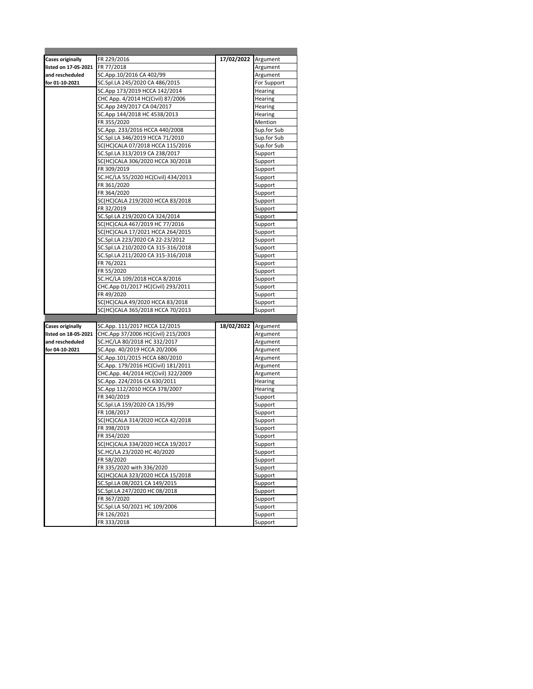| <b>Cases originally</b> |                                                                     | 17/02/2022 Argument |                         |
|-------------------------|---------------------------------------------------------------------|---------------------|-------------------------|
| listed on 17-05-2021    | FR 229/2016                                                         |                     |                         |
| and rescheduled         | FR 77/2018                                                          |                     | Argument                |
| for 01-10-2021          | SC.App.10/2016 CA 402/99<br>SC.Spl.LA 245/2020 CA 486/2015          |                     | Argument<br>For Support |
|                         | SC.App 173/2019 HCCA 142/2014                                       |                     |                         |
|                         | CHC App. 4/2014 HC(Civil) 87/2006                                   |                     | Hearing<br>Hearing      |
|                         | SC.App 249/2017 CA 04/2017                                          |                     | Hearing                 |
|                         | SC.App 144/2018 HC 4538/2013                                        |                     | Hearing                 |
|                         | FR 355/2020                                                         |                     | Mention                 |
|                         | SC.App. 233/2016 HCCA 440/2008                                      |                     | Sup.for Sub             |
|                         | SC.Spl.LA 346/2019 HCCA 71/2010                                     |                     | Sup.for Sub             |
|                         | SC(HC)CALA 07/2018 HCCA 115/2016                                    |                     | Sup.for Sub             |
|                         | SC.Spl.LA 313/2019 CA 238/2017                                      |                     | Support                 |
|                         | SC(HC)CALA 306/2020 HCCA 30/2018                                    |                     | Support                 |
|                         | FR 309/2019                                                         |                     | Support                 |
|                         | SC.HC/LA 55/2020 HC(Civil) 434/2013                                 |                     | Support                 |
|                         | FR 361/2020                                                         |                     | Support                 |
|                         | FR 364/2020                                                         |                     | Support                 |
|                         | SC(HC)CALA 219/2020 HCCA 83/2018                                    |                     | Support                 |
|                         | FR 32/2019                                                          |                     | Support                 |
|                         | SC.Spl.LA 219/2020 CA 324/2014                                      |                     | Support                 |
|                         | SC(HC)CALA 467/2019 HC 77/2016                                      |                     | Support                 |
|                         | SC(HC)CALA 17/2021 HCCA 264/2015                                    |                     | Support                 |
|                         | SC.Spl.LA 223/2020 CA 22-23/2012                                    |                     | Support                 |
|                         | SC.Spl.LA 210/2020 CA 315-316/2018                                  |                     | Support                 |
|                         | SC.Spl.LA 211/2020 CA 315-316/2018                                  |                     | Support                 |
|                         | FR 76/2021                                                          |                     | Support                 |
|                         | FR 55/2020                                                          |                     | Support                 |
|                         | SC.HC/LA 109/2018 HCCA 8/2016                                       |                     | Support                 |
|                         | CHC.App 01/2017 HC(Civil) 293/2011                                  |                     | Support                 |
|                         | FR 49/2020                                                          |                     | Support                 |
|                         |                                                                     |                     |                         |
|                         | SC(HC)CALA 49/2020 HCCA 83/2018                                     |                     | Support                 |
|                         | SC(HC)CALA 365/2018 HCCA 70/2013                                    |                     | Support                 |
|                         |                                                                     |                     |                         |
| Cases originally        | SC.App. 111/2017 HCCA 12/2015                                       | 18/02/2022          | Argument                |
| listed on 18-05-2021    | CHC.App 37/2006 HC(Civil) 215/2003                                  |                     | Argument                |
| and rescheduled         | SC.HC/LA 80/2018 HC 332/2017                                        |                     | Argument                |
| for 04-10-2021          | SC.App. 40/2019 HCCA 20/2006                                        |                     | Argument                |
|                         | SC.App.101/2015 HCCA 680/2010                                       |                     | Argument                |
|                         | SC.App. 179/2016 HC(Civil) 181/2011                                 |                     | Argument                |
|                         | CHC.App. 44/2014 HC(Civil) 322/2009<br>SC.App. 224/2016 CA 630/2011 |                     | Argument<br>Hearing     |
|                         | SC.App 112/2010 HCCA 378/2007                                       |                     | Hearing                 |
|                         | FR 340/2019                                                         |                     | Support                 |
|                         | SC.Spl.LA 159/2020 CA 135/99                                        |                     | Support                 |
|                         | FR 108/2017                                                         |                     | Support                 |
|                         | SC(HC)CALA 314/2020 HCCA 42/2018                                    |                     | Support                 |
|                         | FR 398/2019                                                         |                     | Support                 |
|                         | FR 354/2020                                                         |                     | Support                 |
|                         | SC(HC)CALA 334/2020 HCCA 19/2017                                    |                     | Support                 |
|                         | SC.HC/LA 23/2020 HC 40/2020                                         |                     | Support                 |
|                         | FR 58/2020                                                          |                     | Support                 |
|                         | FR 335/2020 with 336/2020                                           |                     | Support                 |
|                         | SC(HC)CALA 323/2020 HCCA 15/2018                                    |                     | Support                 |
|                         | SC.Spl.LA 08/2021 CA 149/2015                                       |                     | Support                 |
|                         | SC.Spl.LA 247/2020 HC 08/2018                                       |                     | Support                 |
|                         | FR 367/2020                                                         |                     | Support                 |
|                         | SC.Spl.LA 50/2021 HC 109/2006                                       |                     | Support                 |
|                         | FR 126/2021<br>FR 333/2018                                          |                     | Support<br>Support      |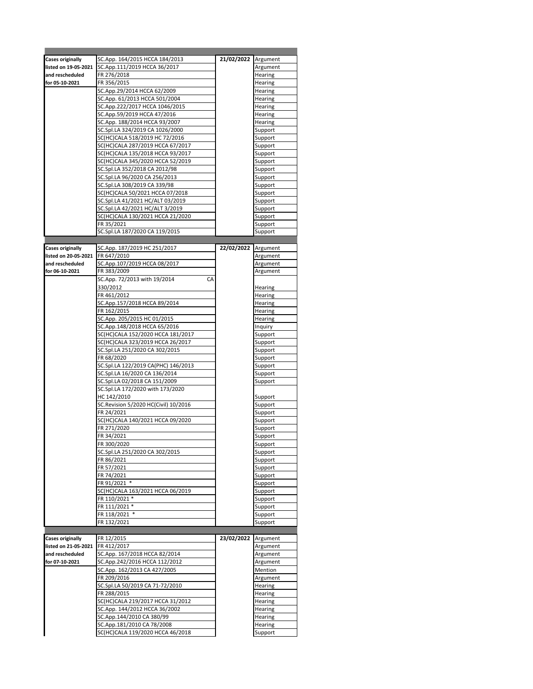| <b>Cases originally</b> | SC.App. 164/2015 HCCA 184/2013       | 21/02/2022 Argument |          |
|-------------------------|--------------------------------------|---------------------|----------|
| listed on 19-05-2021    | SC.App.111/2019 HCCA 36/2017         |                     | Argument |
| and rescheduled         | FR 276/2018                          |                     | Hearing  |
| for 05-10-2021          | FR 356/2015                          |                     | Hearing  |
|                         | SC.App.29/2014 HCCA 62/2009          |                     | Hearing  |
|                         | SC.App. 61/2013 HCCA 501/2004        |                     | Hearing  |
|                         |                                      |                     |          |
|                         | SC.App.222/2017 HCCA 1046/2015       |                     | Hearing  |
|                         | SC.App.59/2019 HCCA 47/2016          |                     | Hearing  |
|                         | SC.App. 188/2014 HCCA 93/2007        |                     | Hearing  |
|                         | SC.Spl.LA 324/2019 CA 1026/2000      |                     | Support  |
|                         | SC(HC)CALA 518/2019 HC 72/2016       |                     | Support  |
|                         | SC(HC)CALA 287/2019 HCCA 67/2017     |                     | Support  |
|                         |                                      |                     |          |
|                         | SC(HC)CALA 135/2018 HCCA 93/2017     |                     | Support  |
|                         | SC(HC)CALA 345/2020 HCCA 52/2019     |                     | Support  |
|                         | SC.Spl.LA 352/2018 CA 2012/98        |                     | Support  |
|                         | SC.Spl.LA 96/2020 CA 256/2013        |                     | Support  |
|                         | SC.Spl.LA 308/2019 CA 339/98         |                     | Support  |
|                         | SC(HC)CALA 50/2021 HCCA 07/2018      |                     | Support  |
|                         | SC.Spl.LA 41/2021 HC/ALT 03/2019     |                     | Support  |
|                         |                                      |                     |          |
|                         | SC.Spl.LA 42/2021 HC/ALT 3/2019      |                     | Support  |
|                         | SC(HC)CALA 130/2021 HCCA 21/2020     |                     | Support  |
|                         | FR 35/2021                           |                     | Support  |
|                         | SC.Spl.LA 187/2020 CA 119/2015       |                     | Support  |
|                         |                                      |                     |          |
|                         |                                      | 22/02/2022 Argument |          |
| <b>Cases originally</b> | SC.App. 187/2019 HC 251/2017         |                     |          |
| listed on 20-05-2021    | FR 647/2010                          |                     | Argument |
| and rescheduled         | SC.App.107/2019 HCCA 08/2017         |                     | Argument |
| for 06-10-2021          | FR 383/2009                          |                     | Argument |
|                         | SC.App. 72/2013 with 19/2014<br>CA   |                     |          |
|                         | 330/2012                             |                     | Hearing  |
|                         | FR 461/2012                          |                     | Hearing  |
|                         |                                      |                     | Hearing  |
|                         | SC.App.157/2018 HCCA 89/2014         |                     |          |
|                         | FR 162/2015                          |                     | Hearing  |
|                         | SC.App. 205/2015 HC 01/2015          |                     | Hearing  |
|                         | SC.App.148/2018 HCCA 65/2016         |                     | Inquiry  |
|                         | SC(HC)CALA 152/2020 HCCA 181/2017    |                     | Support  |
|                         | SC(HC)CALA 323/2019 HCCA 26/2017     |                     | Support  |
|                         | SC.Spl.LA 251/2020 CA 302/2015       |                     | Support  |
|                         |                                      |                     |          |
|                         | FR 68/2020                           |                     | Support  |
|                         | SC.Spl.LA 122/2019 CA(PHC) 146/2013  |                     | Support  |
|                         | SC.Spl.LA 16/2020 CA 136/2014        |                     | Support  |
|                         | SC.Spl.LA 02/2018 CA 151/2009        |                     | Support  |
|                         | SC.Spl.LA 172/2020 with 173/2020     |                     |          |
|                         | HC 142/2010                          |                     | Support  |
|                         | SC.Revision 5/2020 HC(Civil) 10/2016 |                     | Support  |
|                         |                                      |                     |          |
|                         | FR 24/2021                           |                     | Support  |
|                         | SC(HC)CALA 140/2021 HCCA 09/2020     |                     | Support  |
|                         | FR 271/2020                          |                     | Support  |
|                         | FR 34/2021                           |                     | Support  |
|                         | FR 300/2020                          |                     | Support  |
|                         | SC.Spl.LA 251/2020 CA 302/2015       |                     | Support  |
|                         | FR 86/2021                           |                     | Support  |
|                         | FR 57/2021                           |                     | Support  |
|                         |                                      |                     |          |
|                         | FR 74/2021                           |                     | Support  |
|                         | FR 91/2021 *                         |                     | Support  |
|                         | SC(HC)CALA 163/2021 HCCA 06/2019     |                     | Support  |
|                         | FR 110/2021 *                        |                     | Support  |
|                         | FR 111/2021 *                        |                     | Support  |
|                         | FR 118/2021 *                        |                     | Support  |
|                         |                                      |                     |          |
|                         | FR 132/2021                          |                     | Support  |
|                         |                                      |                     |          |
| <b>Cases originally</b> | FR 12/2015                           | 23/02/2022          | Argument |
| listed on 21-05-2021    | FR 412/2017                          |                     | Argument |
| and rescheduled         | SC.App. 167/2018 HCCA 82/2014        |                     | Argument |
| for 07-10-2021          | SC.App.242/2016 HCCA 112/2012        |                     | Argument |
|                         | SC.App. 162/2013 CA 427/2005         |                     | Mention  |
|                         |                                      |                     |          |
|                         | FR 209/2016                          |                     | Argument |
|                         | SC.Spl.LA 50/2019 CA 71-72/2010      |                     | Hearing  |
|                         | FR 288/2015                          |                     | Hearing  |
|                         | SC(HC)CALA 219/2017 HCCA 31/2012     |                     | Hearing  |
|                         | SC.App. 144/2012 HCCA 36/2002        |                     | Hearing  |
|                         | SC.App.144/2010 CA 380/99            |                     | Hearing  |
|                         | SC.App.181/2010 CA 78/2008           |                     | Hearing  |
|                         |                                      |                     |          |
|                         | SC(HC)CALA 119/2020 HCCA 46/2018     |                     | Support  |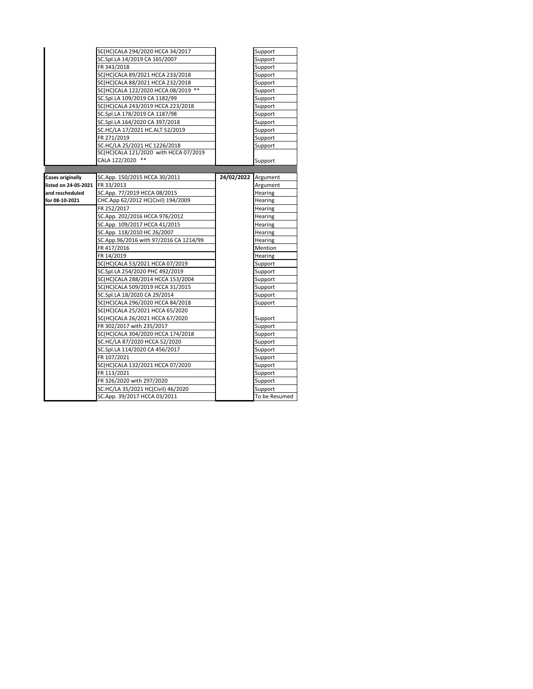|                         | SC(HC)CALA 294/2020 HCCA 34/2017       |            | Support       |
|-------------------------|----------------------------------------|------------|---------------|
|                         | SC.Spl.LA 14/2019 CA 165/2007          |            | Support       |
|                         | FR 343/2018                            |            | Support       |
|                         | SC(HC)CALA 89/2021 HCCA 233/2018       |            | Support       |
|                         | SC(HC)CALA 88/2021 HCCA 232/2018       |            | Support       |
|                         | SC(HC)CALA 122/2020 HCCA 08/2019 **    |            | Support       |
|                         | SC.Spl.LA 109/2019 CA 1182/99          |            | Support       |
|                         | SC(HC)CALA 243/2019 HCCA 223/2018      |            | Support       |
|                         | SC.Spl.LA 178/2019 CA 1187/98          |            | Support       |
|                         | SC.Spl.LA 164/2020 CA 397/2018         |            | Support       |
|                         | SC.HC/LA 17/2021 HC.ALT 52/2019        |            | Support       |
|                         | FR 271/2019                            |            | Support       |
|                         | SC.HC/LA 25/2021 HC 1226/2018          |            | Support       |
|                         | SC(HC)CALA 121/2020 with HCCA 07/2019  |            |               |
|                         | CALA 122/2020 **                       |            | Support       |
|                         |                                        |            |               |
| <b>Cases originally</b> | SC.App. 150/2015 HCCA 30/2011          | 24/02/2022 | Argument      |
| listed on 24-05-2021    | FR 33/2013                             |            | Argument      |
| and rescheduled         | SC.App. 77/2019 HCCA 08/2015           |            | Hearing       |
| for 08-10-2021          | CHC.App 62/2012 HC(Civil) 194/2009     |            | Hearing       |
|                         | FR 252/2017                            |            | Hearing       |
|                         | SC.App. 202/2016 HCCA 976/2012         |            | Hearing       |
|                         | SC.App. 109/2017 HCCA 41/2015          |            | Hearing       |
|                         | SC.App. 118/2010 HC 26/2007            |            | Hearing       |
|                         | SC.App.96/2016 with 97/2016 CA 1214/99 |            | Hearing       |
|                         | FR 417/2016                            |            | Mention       |
|                         | FR 14/2019                             |            | Hearing       |
|                         | SC(HC)CALA 53/2021 HCCA 07/2019        |            | Support       |
|                         | SC.Spl.LA 254/2020 PHC 492/2019        |            | Support       |
|                         | SC(HC)CALA 288/2014 HCCA 153/2004      |            | Support       |
|                         | SC(HC)CALA 509/2019 HCCA 31/2015       |            | Support       |
|                         | SC.Spl.LA 18/2020 CA 29/2014           |            | Support       |
|                         | SC(HC)CALA 296/2020 HCCA 84/2018       |            | Support       |
|                         | SC(HC)CALA 25/2021 HCCA 65/2020        |            |               |
|                         | SC(HC)CALA 26/2021 HCCA 67/2020        |            | Support       |
|                         | FR 302/2017 with 235/2017              |            | Support       |
|                         | SC(HC)CALA 304/2020 HCCA 174/2018      |            | Support       |
|                         | SC.HC/LA 87/2020 HCCA 52/2020          |            | Support       |
|                         | SC.Spl.LA 114/2020 CA 456/2017         |            | Support       |
|                         | FR 107/2021                            |            | Support       |
|                         | SC(HC)CALA 132/2021 HCCA 07/2020       |            | Support       |
|                         | FR 113/2021                            |            | Support       |
|                         | FR 326/2020 with 297/2020              |            | Support       |
|                         | SC.HC/LA 35/2021 HC(Civil) 46/2020     |            | Support       |
|                         | SC.App. 39/2017 HCCA 03/2011           |            | To be Resumed |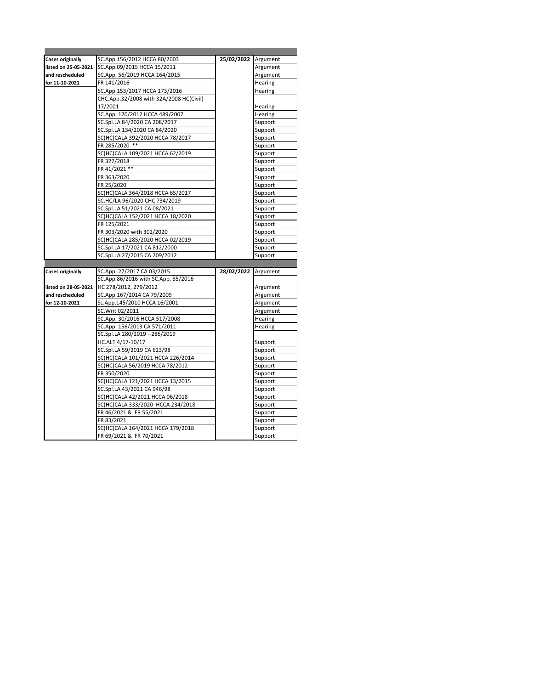| <b>Cases originally</b> | SC.App.156/2012 HCCA 80/2003                                 | 25/02/2022 | Argument           |
|-------------------------|--------------------------------------------------------------|------------|--------------------|
| listed on 25-05-2021    | SC.App.09/2015 HCCA 15/2011                                  |            | Argument           |
| and rescheduled         | SC.App. 56/2019 HCCA 164/2015                                |            | Argument           |
| for 11-10-2021          | FR 141/2016                                                  |            | Hearing            |
|                         | SC.App.153/2017 HCCA 173/2016                                |            | Hearing            |
|                         | CHC.App.32/2008 with 32A/2008 HC(Civil)                      |            |                    |
|                         | 17/2001                                                      |            | Hearing            |
|                         | SC.App. 170/2012 HCCA 489/2007                               |            | Hearing            |
|                         | SC.Spl.LA 84/2020 CA 208/2017                                |            | Support            |
|                         | SC.Spl.LA 134/2020 CA 84/2020                                |            | Support            |
|                         | SC(HC)CALA 392/2020 HCCA 78/2017                             |            | Support            |
|                         | FR 285/2020 **                                               |            | Support            |
|                         | SC(HC)CALA 109/2021 HCCA 62/2019                             |            | Support            |
|                         | FR 327/2018                                                  |            | Support            |
|                         | FR 41/2021 **                                                |            | Support            |
|                         | FR 363/2020                                                  |            | Support            |
|                         | FR 25/2020                                                   |            | Support            |
|                         | SC(HC)CALA 364/2018 HCCA 65/2017                             |            | Support            |
|                         | SC.HC/LA 96/2020 CHC 734/2019                                |            | Support            |
|                         | SC.Spl.LA 51/2021 CA 08/2021                                 |            | Support            |
|                         | SC(HC)CALA 152/2021 HCCA 18/2020                             |            | Support            |
|                         | FR 125/2021                                                  |            | Support            |
|                         | FR 303/2020 with 302/2020                                    |            | Support            |
|                         | SC(HC)CALA 285/2020 HCCA 02/2019                             |            | Support            |
|                         |                                                              |            |                    |
|                         | SC.Spl.LA 17/2021 CA 812/2000                                |            | Support            |
|                         | SC.Spl.LA 27/2015 CA 209/2012                                |            | Support            |
|                         |                                                              |            |                    |
| <b>Cases originally</b> | SC.App. 27/2017 CA 03/2015                                   | 28/02/2022 | Argument           |
|                         | SC.App.86/2016 with SC.App. 85/2016                          |            |                    |
| listed on 28-05-2021    | HC 278/2012, 279/2012                                        |            | Argument           |
| and rescheduled         | SC.App.167/2014 CA 79/2009                                   |            | Argument           |
| for 12-10-2021          | Sc.App.145/2010 HCCA 16/2001                                 |            | Argument           |
|                         | SC.Writ 02/2011                                              |            | Argument           |
|                         | SC.App. 30/2016 HCCA 517/2008                                |            | Hearing            |
|                         | SC.App. 156/2013 CA 571/2011                                 |            | Hearing            |
|                         | SC.Spl.LA 280/2019 -- 286/2019                               |            |                    |
|                         | HC.ALT 4/17-10/17                                            |            | Support            |
|                         | SC.Spl.LA 59/2019 CA 623/98                                  |            | Support            |
|                         | SC(HC)CALA 101/2021 HCCA 226/2014                            |            | Support            |
|                         | SC(HC)CALA 56/2019 HCCA 78/2012                              |            | Support            |
|                         | FR 350/2020                                                  |            | Support            |
|                         | SC(HC)CALA 121/2021 HCCA 13/2015                             |            | Support            |
|                         | SC.Spl.LA 43/2021 CA 946/98                                  |            | Support            |
|                         | SC(HC)CALA 42/2021 HCCA 06/2018                              |            | Support            |
|                         | SC(HC)CALA 333/2020 HCCA 234/2018                            |            | Support            |
|                         | FR 46/2021 & FR 55/2021                                      |            | Support            |
|                         | FR 83/2021                                                   |            | Support            |
|                         | SC(HC)CALA 164/2021 HCCA 179/2018<br>FR 69/2021 & FR 70/2021 |            | Support<br>Support |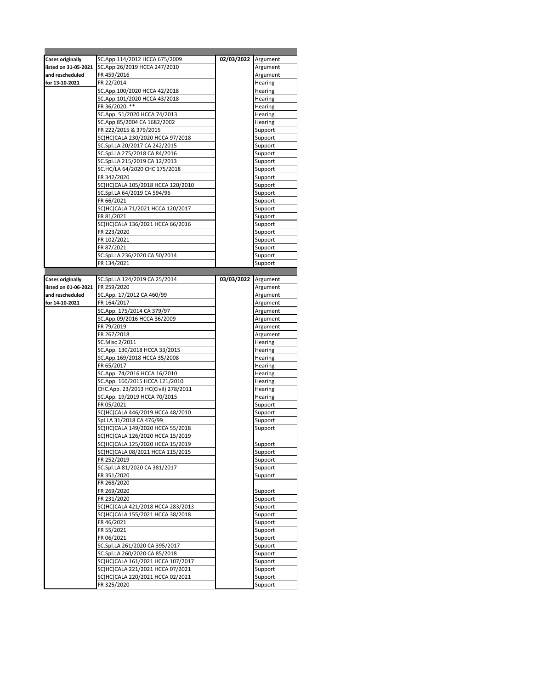| <b>Cases originally</b> | SC.App.114/2012 HCCA 675/2009       | 02/03/2022 Argument |          |
|-------------------------|-------------------------------------|---------------------|----------|
| listed on 31-05-2021    | SC.App.26/2019 HCCA 247/2010        |                     | Argument |
| and rescheduled         | FR 459/2016                         |                     | Argument |
| for 13-10-2021          | FR 22/2014                          |                     | Hearing  |
|                         | SC.App.100/2020 HCCA 42/2018        |                     | Hearing  |
|                         | SC.App.101/2020 HCCA 43/2018        |                     | Hearing  |
|                         | FR 36/2020 **                       |                     | Hearing  |
|                         | SC.App. 51/2020 HCCA 74/2013        |                     | Hearing  |
|                         | SC.App.85/2004 CA 1682/2002         |                     | Hearing  |
|                         | FR 222/2015 & 379/2015              |                     | Support  |
|                         |                                     |                     |          |
|                         | SC(HC)CALA 230/2020 HCCA 97/2018    |                     | Support  |
|                         | SC.Spl.LA 20/2017 CA 242/2015       |                     | Support  |
|                         | SC.Spl.LA 275/2018 CA 84/2016       |                     | Support  |
|                         | SC.Spl.LA 215/2019 CA 12/2013       |                     | Support  |
|                         | SC.HC/LA 64/2020 CHC 175/2018       |                     | Support  |
|                         | FR 342/2020                         |                     | Support  |
|                         | SC(HC)CALA 105/2018 HCCA 120/2010   |                     | Support  |
|                         | SC.Spl.LA 64/2019 CA 594/96         |                     | Support  |
|                         | FR 66/2021                          |                     | Support  |
|                         | SC(HC)CALA 71/2021 HCCA 120/2017    |                     | Support  |
|                         | FR 81/2021                          |                     | Support  |
|                         |                                     |                     |          |
|                         | SC(HC)CALA 136/2021 HCCA 66/2016    |                     | Support  |
|                         | FR 223/2020                         |                     | Support  |
|                         | FR 102/2021                         |                     | Support  |
|                         | FR 87/2021                          |                     | Support  |
|                         | SC.Spl.LA 236/2020 CA 50/2014       |                     | Support  |
|                         | FR 134/2021                         |                     | Support  |
|                         |                                     |                     |          |
| <b>Cases originally</b> | SC.Spl.LA 124/2019 CA 25/2014       | 03/03/2022          | Argument |
| listed on 01-06-2021    | FR 259/2020                         |                     | Argument |
| and rescheduled         | SC.App. 17/2012 CA 460/99           |                     | Argument |
| for 14-10-2021          | FR 164/2017                         |                     | Argument |
|                         |                                     |                     |          |
|                         | SC.App. 175/2014 CA 379/97          |                     | Argument |
|                         | SC.App.09/2016 HCCA 36/2009         |                     | Argument |
|                         | FR 79/2019                          |                     | Argument |
|                         | FR 267/2018                         |                     | Argument |
|                         | SC.Misc 2/2011                      |                     | Hearing  |
|                         | SC.App. 130/2018 HCCA 33/2015       |                     | Hearing  |
|                         | SC.App.169/2018 HCCA 35/2008        |                     | Hearing  |
|                         | FR 65/2017                          |                     | Hearing  |
|                         | SC.App. 74/2016 HCCA 16/2010        |                     | Hearing  |
|                         | SC.App. 160/2015 HCCA 121/2010      |                     | Hearing  |
|                         | CHC.App. 23/2013 HC(Civil) 278/2011 |                     | Hearing  |
|                         | SC.App. 19/2019 HCCA 70/2015        |                     | Hearing  |
|                         | FR 05/2021                          |                     | Support  |
|                         | SC(HC)CALA 446/2019 HCCA 48/2010    |                     |          |
|                         |                                     |                     | Support  |
|                         | Spl.LA 31/2018 CA 476/99            |                     | Support  |
|                         | SC(HC)CALA 149/2020 HCCA 55/2018    |                     | Support  |
|                         | SC(HC)CALA 126/2020 HCCA 15/2019    |                     |          |
|                         | SC(HC)CALA 125/2020 HCCA 15/2019    |                     | Support  |
|                         | SC(HC)CALA 08/2021 HCCA 115/2015    |                     | Support  |
|                         | FR 252/2019                         |                     | Support  |
|                         | SC.Spl.LA 81/2020 CA 381/2017       |                     | Support  |
|                         | FR 351/2020                         |                     | Support  |
|                         | FR 268/2020                         |                     |          |
|                         | FR 269/2020                         |                     | Support  |
|                         | FR 231/2020                         |                     | Support  |
|                         | SC(HC)CALA 421/2018 HCCA 283/2013   |                     | Support  |
|                         |                                     |                     |          |
|                         | SC(HC)CALA 155/2021 HCCA 38/2018    |                     | Support  |
|                         | FR 46/2021                          |                     | Support  |
|                         | FR 55/2021                          |                     | Support  |
|                         | FR 06/2021                          |                     | Support  |
|                         | SC.Spl.LA 261/2020 CA 395/2017      |                     | Support  |
|                         | SC.Spl.LA 260/2020 CA 85/2018       |                     | Support  |
|                         | SC(HC)CALA 161/2021 HCCA 107/2017   |                     | Support  |
|                         | SC(HC)CALA 221/2021 HCCA 07/2021    |                     | Support  |
|                         | SC(HC)CALA 220/2021 HCCA 02/2021    |                     | Support  |
|                         | FR 325/2020                         |                     | Support  |
|                         |                                     |                     |          |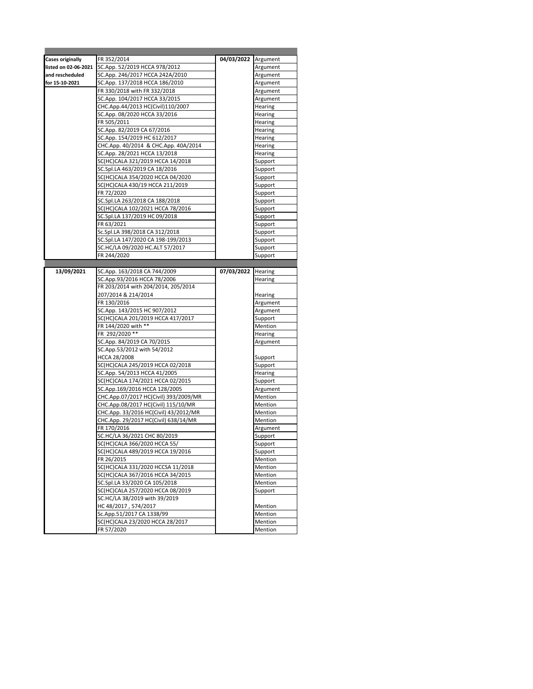| Cases originally     | FR 352/2014                           | 04/03/2022 Argument |          |
|----------------------|---------------------------------------|---------------------|----------|
| listed on 02-06-2021 | SC.App. 52/2019 HCCA 978/2012         |                     | Argument |
| and rescheduled      | SC.App. 246/2017 HCCA 242A/2010       |                     | Argument |
| for 15-10-2021       | SC.App. 137/2018 HCCA 186/2010        |                     | Argument |
|                      | FR 330/2018 with FR 332/2018          |                     | Argument |
|                      | SC.App. 104/2017 HCCA 33/2015         |                     | Argument |
|                      | CHC.App.44/2013 HC(Civil)110/2007     |                     | Hearing  |
|                      | SC.App. 08/2020 HCCA 33/2016          |                     | Hearing  |
|                      | FR 505/2011                           |                     | Hearing  |
|                      | SC.App. 82/2019 CA 67/2016            |                     | Hearing  |
|                      | SC.App. 154/2019 HC 612/2017          |                     | Hearing  |
|                      | CHC.App. 40/2014 & CHC.App. 40A/2014  |                     | Hearing  |
|                      | SC.App. 28/2021 HCCA 13/2018          |                     | Hearing  |
|                      | SC(HC)CALA 321/2019 HCCA 14/2018      |                     | Support  |
|                      | SC.Spl.LA 463/2019 CA 18/2016         |                     | Support  |
|                      | SC(HC)CALA 354/2020 HCCA 04/2020      |                     | Support  |
|                      | SC(HC)CALA 430/19 HCCA 211/2019       |                     | Support  |
|                      | FR 72/2020                            |                     | Support  |
|                      | SC.Spl.LA 263/2018 CA 188/2018        |                     | Support  |
|                      | SC(HC)CALA 102/2021 HCCA 78/2016      |                     | Support  |
|                      | SC.Spl.LA 137/2019 HC 09/2018         |                     | Support  |
|                      | FR 63/2021                            |                     | Support  |
|                      | Sc.Spl.LA 398/2018 CA 312/2018        |                     | Support  |
|                      | SC.Spl.LA 147/2020 CA 198-199/2013    |                     | Support  |
|                      | SC.HC/LA 09/2020 HC.ALT 57/2017       |                     | Support  |
|                      | FR 244/2020                           |                     | Support  |
|                      |                                       |                     |          |
| 13/09/2021           | SC.App. 163/2018 CA 744/2009          | 07/03/2022 Hearing  |          |
|                      | SC.App.93/2016 HCCA 78/2006           |                     | Hearing  |
|                      | FR 203/2014 with 204/2014, 205/2014   |                     |          |
|                      | 207/2014 & 214/2014                   |                     | Hearing  |
|                      | FR 130/2016                           |                     | Argument |
|                      | SC.App. 143/2015 HC 907/2012          |                     | Argument |
|                      | SC(HC)CALA 201/2019 HCCA 417/2017     |                     | Support  |
|                      | FR 144/2020 with **                   |                     | Mention  |
|                      | FR 292/2020 **                        |                     | Hearing  |
|                      | SC.App. 84/2019 CA 70/2015            |                     | Argument |
|                      | SC.App.53/2012 with 54/2012           |                     |          |
|                      | HCCA 28/2008                          |                     | Support  |
|                      | SC(HC)CALA 245/2019 HCCA 02/2018      |                     | Support  |
|                      | SC.App. 54/2013 HCCA 41/2005          |                     | Hearing  |
|                      | SC(HC)CALA 174/2021 HCCA 02/2015      |                     | Support  |
|                      | SC.App.169/2016 HCCA 128/2005         |                     | Argument |
|                      | CHC.App.07/2017 HC(Civil) 393/2009/MR |                     | Mention  |
|                      | CHC.App.08/2017 HC(Civil) 115/10/MR   |                     | Mention  |
|                      | CHC.App. 33/2016 HC(Civil) 43/2012/MR |                     | Mention  |
|                      | CHC.App. 29/2017 HC(Civil) 638/14/MR  |                     | Mention  |
|                      | FR 170/2016                           |                     | Argument |
|                      | SC.HC/LA 36/2021 CHC 80/2019          |                     | Support  |
|                      | SC(HC)CALA 366/2020 HCCA 55/          |                     | Support  |
|                      | SC(HC)CALA 489/2019 HCCA 19/2016      |                     | Support  |
|                      | FR 26/2015                            |                     | Mention  |
|                      | SC(HC)CALA 331/2020 HCCSA 11/2018     |                     | Mention  |
|                      | SC(HC)CALA 367/2016 HCCA 34/2015      |                     | Mention  |
|                      | SC.Spl.LA 33/2020 CA 105/2018         |                     | Mention  |
|                      | SC(HC)CALA 257/2020 HCCA 08/2019      |                     | Support  |
|                      | SC.HC/LA 38/2019 with 39/2019         |                     |          |
|                      | HC48/2017, 574/2017                   |                     | Mention  |
|                      | Sc.App.51/2017 CA 1338/99             |                     | Mention  |
|                      | SC(HC)CALA 23/2020 HCCA 28/2017       |                     | Mention  |
|                      | FR 57/2020                            |                     | Mention  |
|                      |                                       |                     |          |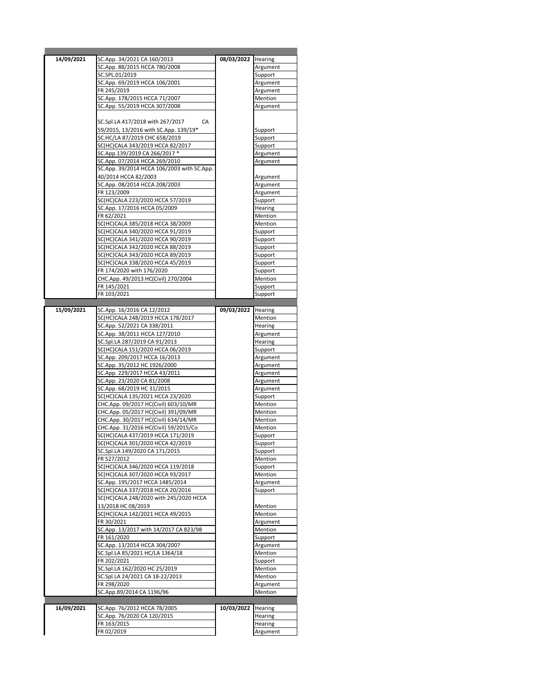| 14/09/2021 | SC.App. 34/2021 CA 160/2013                | 08/03/2022 Hearing |          |
|------------|--------------------------------------------|--------------------|----------|
|            | SC.App. 88/2015 HCCA 780/2008              |                    | Argument |
|            | SC.SPL.01/2019                             |                    | Support  |
|            | SC.App. 69/2019 HCCA 106/2001              |                    | Argument |
|            | FR 245/2019                                |                    | Argument |
|            |                                            |                    |          |
|            | SC.App. 178/2015 HCCA 71/2007              |                    | Mention  |
|            | SC.App. 55/2019 HCCA 307/2008              |                    | Argument |
|            |                                            |                    |          |
|            | SC.Spl.LA 417/2018 with 267/2017<br>CA     |                    |          |
|            | 59/2015, 13/2016 with SC.App. 139/19*      |                    | Support  |
|            | SC.HC/LA 87/2019 CHC 658/2019              |                    | Support  |
|            | SC(HC)CALA 343/2019 HCCA 82/2017           |                    | Support  |
|            | SC.App.139/2019 CA 266/2017 *              |                    | Argument |
|            | SC.App. 07/2014 HCCA 269/2010              |                    | Argument |
|            | SC.App. 39/2014 HCCA 106/2003 with SC.App. |                    |          |
|            | 40/2014 HCCA 82/2003                       |                    |          |
|            |                                            |                    | Argument |
|            | SC.App. 08/2014 HCCA 208/2003              |                    | Argument |
|            | FR 123/2009                                |                    | Argument |
|            | SC(HC)CALA 223/2020 HCCA 57/2019           |                    | Support  |
|            | SC.App. 17/2016 HCCA 05/2009               |                    | Hearing  |
|            | FR 62/2021                                 |                    | Mention  |
|            | SC(HC)CALA 385/2018 HCCA 38/2009           |                    | Mention  |
|            | SC(HC)CALA 340/2020 HCCA 91/2019           |                    | Support  |
|            | SC(HC)CALA 341/2020 HCCA 90/2019           |                    | Support  |
|            |                                            |                    |          |
|            | SC(HC)CALA 342/2020 HCCA 88/2019           |                    | Support  |
|            | SC(HC)CALA 343/2020 HCCA 89/2019           |                    | Support  |
|            | SC(HC)CALA 338/2020 HCCA 45/2019           |                    | Support  |
|            | FR 174/2020 with 176/2020                  |                    | Support  |
|            | CHC.App. 49/2013 HC(Civil) 270/2004        |                    | Mention  |
|            | FR 145/2021                                |                    | Support  |
|            | FR 103/2021                                |                    | Support  |
|            |                                            |                    |          |
|            |                                            |                    |          |
| 15/09/2021 | SC.App. 16/2016 CA 12/2012                 | 09/03/2022         | Hearing  |
|            | SC(HC)CALA 248/2019 HCCA 178/2017          |                    | Mention  |
|            | SC.App. 52/2021 CA 338/2011                |                    | Hearing  |
|            | SC.App. 38/2011 HCCA 127/2010              |                    | Argument |
|            | SC.Spl.LA 287/2019 CA 91/2013              |                    | Hearing  |
|            | SC(HC)CALA 151/2020 HCCA 06/2019           |                    | Support  |
|            | SC.App. 209/2017 HCCA 16/2013              |                    | Argument |
|            | SC.App. 35/2012 HC 1926/2000               |                    | Argument |
|            | SC.App. 229/2017 HCCA 43/2011              |                    |          |
|            |                                            |                    | Argument |
|            | SC.App. 23/2020 CA 81/2008                 |                    | Argument |
|            | SC.App. 68/2019 HC 31/2015                 |                    | Argument |
|            | SC(HC)CALA 135/2021 HCCA 23/2020           |                    | Support  |
|            | CHC.App. 09/2017 HC(Civil) 603/10/MR       |                    | Mention  |
|            | CHC.App. 05/2017 HC(Civil) 391/09/MR       |                    | Mention  |
|            | CHC.App. 30/2017 HC(Civil) 634/14/MR       |                    | Mention  |
|            | CHC.App. 31/2016 HC(Civil) 59/2015/Co      |                    | Mention  |
|            | SC(HC)CALA 437/2019 HCCA 171/2019          |                    | Support  |
|            | SC(HC)CALA 301/2020 HCCA 42/2019           |                    | Support  |
|            | SC.Spl.LA 149/2020 CA 171/2015             |                    |          |
|            |                                            |                    | Support  |
|            | FR 527/2012                                |                    | Mention  |
|            | SC(HC)CALA 346/2020 HCCA 119/2018          |                    | Support  |
|            | SC(HC)CALA 307/2020 HCCA 93/2017           |                    | Mention  |
|            | SC.App. 195/2017 HCCA 1485/2014            |                    | Argument |
|            | SC(HC)CALA 337/2018 HCCA 20/2016           |                    | Support  |
|            | SC(HC)CALA 248/2020 with 245/2020 HCCA     |                    |          |
|            | 13/2018 HC 08/2019                         |                    | Mention  |
|            | SC(HC)CALA 142/2021 HCCA 49/2015           |                    | Mention  |
|            |                                            |                    |          |
|            | FR 30/2021                                 |                    | Argument |
|            | SC.App. 13/2017 with 14/2017 CA 823/98     |                    | Mention  |
|            | FR 161/2020                                |                    | Support  |
|            | SC.App. 13/2014 HCCA 304/2007              |                    | Argument |
|            | SC.Spl.LA 85/2021 HC/LA 1364/18            |                    | Mention  |
|            | FR 202/2021                                |                    | Support  |
|            | SC.Spl.LA 162/2020 HC 25/2019              |                    | Mention  |
|            | SC.Spl.LA 24/2021 CA 18-22/2013            |                    | Mention  |
|            | FR 298/2020                                |                    |          |
|            |                                            |                    | Argument |
|            | SC.App.89/2014 CA 1196/96                  |                    | Mention  |
|            |                                            |                    |          |
|            |                                            |                    |          |
| 16/09/2021 | SC.App. 76/2012 HCCA 78/2005               | 10/03/2022         | Hearing  |
|            | SC.App. 76/2020 CA 120/2015                |                    | Hearing  |
|            | FR 163/2015                                |                    | Hearing  |
|            | FR 02/2019                                 |                    | Argument |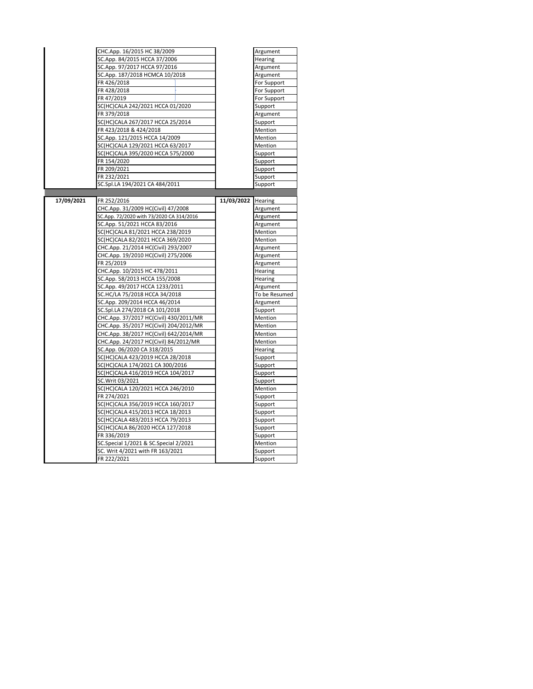|            | CHC.App. 16/2015 HC 38/2009              |                    | Argument      |
|------------|------------------------------------------|--------------------|---------------|
|            | SC.App. 84/2015 HCCA 37/2006             |                    | Hearing       |
|            | SC.App. 97/2017 HCCA 97/2016             |                    | Argument      |
|            | SC.App. 187/2018 HCMCA 10/2018           |                    | Argument      |
|            | FR 426/2018                              |                    | For Support   |
|            | FR 428/2018                              |                    | For Support   |
|            | FR 47/2019                               |                    | For Support   |
|            | SC(HC)CALA 242/2021 HCCA 01/2020         |                    | Support       |
|            | FR 379/2018                              |                    | Argument      |
|            | SC(HC)CALA 267/2017 HCCA 25/2014         |                    | Support       |
|            | FR 423/2018 & 424/2018                   |                    | Mention       |
|            | SC.App. 121/2015 HCCA 14/2009            |                    | Mention       |
|            | SC(HC)CALA 129/2021 HCCA 63/2017         |                    | Mention       |
|            | SC(HC)CALA 395/2020 HCCA 575/2000        |                    | Support       |
|            | FR 154/2020                              |                    | Support       |
|            | FR 209/2021                              |                    | Support       |
|            | FR 232/2021                              |                    | Support       |
|            | SC.Spl.LA 194/2021 CA 484/2011           |                    | Support       |
|            |                                          |                    |               |
| 17/09/2021 | FR 252/2016                              | 11/03/2022 Hearing |               |
|            | CHC.App. 31/2009 HC(Civil) 47/2008       |                    | Argument      |
|            | SC.App. 72/2020 with 73/2020 CA 314/2016 |                    | Argument      |
|            | SC.App. 51/2021 HCCA 83/2016             |                    | Argument      |
|            | SC(HC)CALA 81/2021 HCCA 238/2019         |                    | Mention       |
|            | SC(HC)CALA 82/2021 HCCA 369/2020         |                    | Mention       |
|            | CHC.App. 21/2014 HC(Civil) 293/2007      |                    |               |
|            | CHC.App. 19/2010 HC(Civil) 275/2006      |                    | Argument      |
|            |                                          |                    | Argument      |
|            | FR 25/2019                               |                    | Argument      |
|            | CHC.App. 10/2015 HC 478/2011             |                    | Hearing       |
|            | SC.App. 58/2013 HCCA 155/2008            |                    | Hearing       |
|            | SC.App. 49/2017 HCCA 1233/2011           |                    | Argument      |
|            | SC.HC/LA 75/2018 HCCA 34/2018            |                    | To be Resumed |
|            | SC.App. 209/2014 HCCA 46/2014            |                    | Argument      |
|            | SC.Spl.LA 274/2018 CA 101/2018           |                    | Support       |
|            | CHC.App. 37/2017 HC(Civil) 430/2011/MR   |                    | Mention       |
|            | CHC.App. 35/2017 HC(Civil) 204/2012/MR   |                    | Mention       |
|            | CHC.App. 38/2017 HC(Civil) 642/2014/MR   |                    | Mention       |
|            | CHC.App. 24/2017 HC(Civil) 84/2012/MR    |                    | Mention       |
|            | SC.App. 06/2020 CA 318/2015              |                    | Hearing       |
|            | SC(HC)CALA 423/2019 HCCA 28/2018         |                    | Support       |
|            | SC(HC)CALA 174/2021 CA 300/2016          |                    | Support       |
|            | SC(HC)CALA 416/2019 HCCA 104/2017        |                    | Support       |
|            | SC.Writ 03/2021                          |                    | Support       |
|            | SC(HC)CALA 120/2021 HCCA 246/2010        |                    | Mention       |
|            | FR 274/2021                              |                    | Support       |
|            | SC(HC)CALA 356/2019 HCCA 160/2017        |                    | Support       |
|            | SC(HC)CALA 415/2013 HCCA 18/2013         |                    | Support       |
|            | SC(HC)CALA 483/2013 HCCA 79/2013         |                    | Support       |
|            | SC(HC)CALA 86/2020 HCCA 127/2018         |                    | Support       |
|            | FR 336/2019                              |                    | Support       |
|            | SC.Special 1/2021 & SC.Special 2/2021    |                    | Mention       |
|            | SC. Writ 4/2021 with FR 163/2021         |                    | Support       |
|            | FR 222/2021                              |                    | Support       |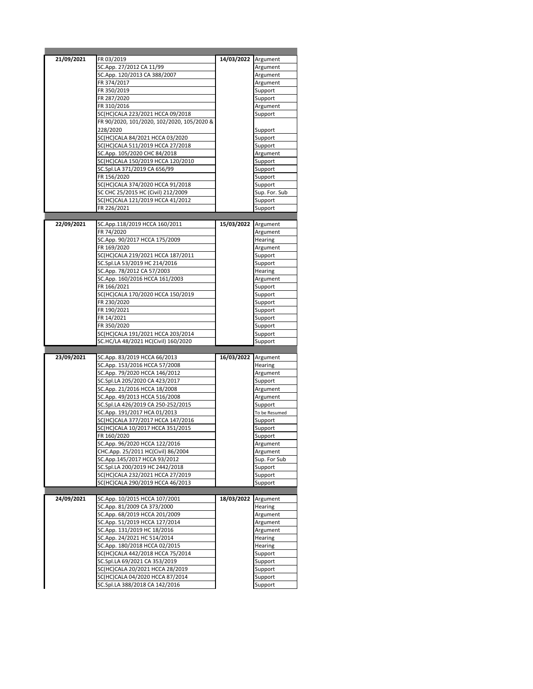| 21/09/2021 | FR 03/2019                                                        | 14/03/2022 Argument |                    |
|------------|-------------------------------------------------------------------|---------------------|--------------------|
|            | SC.App. 27/2012 CA 11/99                                          |                     | Argument           |
|            | SC.App. 120/2013 CA 388/2007                                      |                     | Argument           |
|            |                                                                   |                     |                    |
|            | FR 374/2017                                                       |                     | Argument           |
|            | FR 350/2019                                                       |                     | Support            |
|            | FR 287/2020                                                       |                     | Support            |
|            | FR 310/2016                                                       |                     | Argument           |
|            | SC(HC)CALA 223/2021 HCCA 09/2018                                  |                     | Support            |
|            | FR 90/2020, 101/2020, 102/2020, 105/2020 &                        |                     |                    |
|            |                                                                   |                     |                    |
|            | 228/2020                                                          |                     | Support            |
|            | SC(HC)CALA 84/2021 HCCA 03/2020                                   |                     | Support            |
|            | SC(HC)CALA 511/2019 HCCA 27/2018                                  |                     | Support            |
|            | SC.App. 105/2020 CHC 84/2018                                      |                     | Argument           |
|            | SC(HC)CALA 150/2019 HCCA 120/2010                                 |                     | Support            |
|            | SC.Spl.LA 371/2019 CA 656/99                                      |                     | Support            |
|            |                                                                   |                     |                    |
|            | FR 156/2020                                                       |                     | Support            |
|            | SC(HC)CALA 374/2020 HCCA 91/2018                                  |                     | Support            |
|            | SC CHC 25/2015 HC (Civil) 212/2009                                |                     | Sup. For. Sub      |
|            | SC(HC)CALA 121/2019 HCCA 41/2012                                  |                     | Support            |
|            | FR 226/2021                                                       |                     | Support            |
|            |                                                                   |                     |                    |
| 22/09/2021 | SC.App.118/2019 HCCA 160/2011                                     | 15/03/2022 Argument |                    |
|            | FR 74/2020                                                        |                     | Argument           |
|            | SC.App. 90/2017 HCCA 175/2009                                     |                     | Hearing            |
|            |                                                                   |                     |                    |
|            | FR 169/2020                                                       |                     | Argument           |
|            | SC(HC)CALA 219/2021 HCCA 187/2011                                 |                     | Support            |
|            | SC.Spl.LA 53/2019 HC 214/2016                                     |                     | Support            |
|            | SC.App. 78/2012 CA 57/2003                                        |                     | Hearing            |
|            | SC.App. 160/2016 HCCA 161/2003                                    |                     | Argument           |
|            | FR 166/2021                                                       |                     | Support            |
|            | SC(HC)CALA 170/2020 HCCA 150/2019                                 |                     | Support            |
|            | FR 230/2020                                                       |                     | Support            |
|            |                                                                   |                     |                    |
|            | FR 190/2021                                                       |                     | Support            |
|            | FR 14/2021                                                        |                     | Support            |
|            | FR 350/2020                                                       |                     | Support            |
|            |                                                                   |                     |                    |
|            | SC(HC)CALA 191/2021 HCCA 203/2014                                 |                     | Support            |
|            | SC.HC/LA 48/2021 HC(Civil) 160/2020                               |                     | Support            |
|            |                                                                   |                     |                    |
| 23/09/2021 | SC.App. 83/2019 HCCA 66/2013                                      | 16/03/2022 Argument |                    |
|            |                                                                   |                     |                    |
|            | SC.App. 153/2016 HCCA 57/2008                                     |                     | Hearing            |
|            | SC.App. 79/2020 HCCA 146/2012                                     |                     | Argument           |
|            | SC.Spl.LA 205/2020 CA 423/2017                                    |                     | Support            |
|            | SC.App. 21/2016 HCCA 18/2008                                      |                     | Argument           |
|            | SC.App. 49/2013 HCCA 516/2008                                     |                     | Argument           |
|            | SC.Spl.LA 426/2019 CA 250-252/2015                                |                     | Support            |
|            | SC.App. 191/2017 HCA 01/2013                                      |                     | To be Resumed      |
|            |                                                                   |                     |                    |
|            | SC(HC)CALA 377/2017 HCCA 147/2016                                 |                     | Support            |
|            | SC(HC)CALA 10/2017 HCCA 351/2015                                  |                     | Support            |
|            | FR 160/2020                                                       |                     | Support            |
|            | SC.App. 96/2020 HCCA 122/2016                                     |                     | Argument           |
|            | CHC.App. 25/2011 HC(Civil) 86/2004                                |                     | Argument           |
|            | SC.App.145/2017 HCCA 93/2012                                      |                     | Sup. For Sub       |
|            | SC.Spl.LA 200/2019 HC 2442/2018                                   |                     | Support            |
|            |                                                                   |                     |                    |
|            | SC(HC)CALA 232/2021 HCCA 27/2019                                  |                     | Support            |
|            | SC(HC)CALA 290/2019 HCCA 46/2013                                  |                     | Support            |
|            |                                                                   |                     |                    |
| 24/09/2021 | SC.App. 10/2015 HCCA 107/2001                                     | 18/03/2022          | Argument           |
|            | SC.App. 81/2009 CA 373/2000                                       |                     | Hearing            |
|            | SC.App. 68/2019 HCCA 201/2009                                     |                     | Argument           |
|            | SC.App. 51/2019 HCCA 127/2014                                     |                     | Argument           |
|            | SC.App. 131/2019 HC 18/2016                                       |                     | Argument           |
|            | SC.App. 24/2021 HC 514/2014                                       |                     | Hearing            |
|            | SC.App. 180/2018 HCCA 02/2015                                     |                     | Hearing            |
|            | SC(HC)CALA 442/2018 HCCA 75/2014                                  |                     | Support            |
|            | SC.Spl.LA 69/2021 CA 353/2019                                     |                     | Support            |
|            |                                                                   |                     |                    |
|            | SC(HC)CALA 20/2021 HCCA 28/2019                                   |                     | Support            |
|            | SC(HC)CALA 04/2020 HCCA 87/2014<br>SC.Spl.LA 388/2018 CA 142/2016 |                     | Support<br>Support |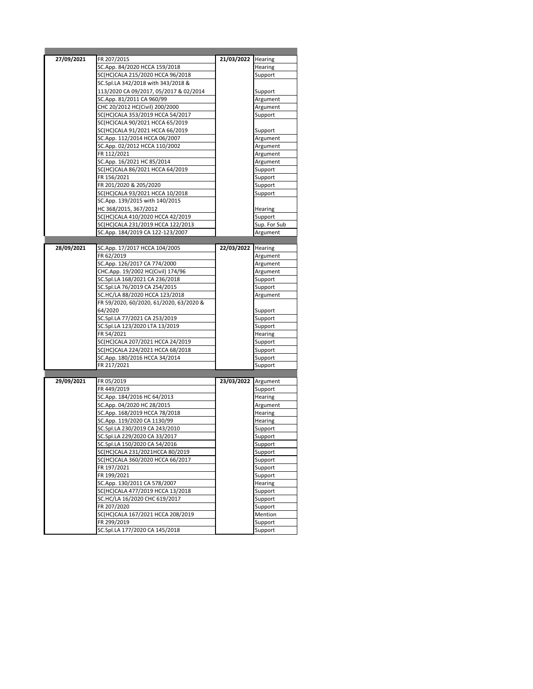| 27/09/2021 | FR 207/2015                                                          | 21/03/2022 Hearing |                    |
|------------|----------------------------------------------------------------------|--------------------|--------------------|
|            | SC.App. 84/2020 HCCA 159/2018                                        |                    | Hearing            |
|            | SC(HC)CALA 215/2020 HCCA 96/2018                                     |                    | Support            |
|            | SC.Spl.LA 342/2018 with 343/2018 &                                   |                    |                    |
|            | 113/2020 CA 09/2017, 05/2017 & 02/2014                               |                    | Support            |
|            | SC.App. 81/2011 CA 960/99                                            |                    | Argument           |
|            | CHC 20/2012 HC(Civil) 200/2000                                       |                    | Argument           |
|            | SC(HC)CALA 353/2019 HCCA 54/2017                                     |                    | Support            |
|            | SC(HC)CALA 90/2021 HCCA 65/2019                                      |                    |                    |
|            | SC(HC)CALA 91/2021 HCCA 66/2019                                      |                    | Support            |
|            | SC.App. 112/2014 HCCA 06/2007                                        |                    | Argument           |
|            | SC.App. 02/2012 HCCA 110/2002                                        |                    | Argument           |
|            | FR 112/2021                                                          |                    | Argument           |
|            | SC.App. 16/2021 HC 85/2014                                           |                    | Argument           |
|            | SC(HC)CALA 86/2021 HCCA 64/2019                                      |                    | Support            |
|            | FR 156/2021                                                          |                    | Support            |
|            | FR 201/2020 & 205/2020                                               |                    | Support            |
|            | SC(HC)CALA 93/2021 HCCA 10/2018                                      |                    | Support            |
|            | SC.App. 139/2015 with 140/2015                                       |                    |                    |
|            | HC 368/2015, 367/2012                                                |                    | Hearing            |
|            | SC(HC)CALA 410/2020 HCCA 42/2019                                     |                    | Support            |
|            | SC(HC)CALA 231/2019 HCCA 122/2013                                    |                    | Sup. For Sub       |
|            | SC.App. 184/2019 CA 122-123/2007                                     |                    | Argument           |
|            |                                                                      |                    |                    |
| 28/09/2021 | SC.App. 17/2017 HCCA 104/2005                                        | 22/03/2022         | Hearing            |
|            | FR 62/2019                                                           |                    | Argument           |
|            | SC.App. 126/2017 CA 774/2000                                         |                    | Argument           |
|            | CHC.App. 19/2002 HC(Civil) 174/96                                    |                    | Argument           |
|            | SC.Spl.LA 168/2021 CA 236/2018                                       |                    | Support            |
|            | SC.Spl.LA 76/2019 CA 254/2015                                        |                    | Support            |
|            | SC.HC/LA 88/2020 HCCA 123/2018                                       |                    | Argument           |
|            | FR 59/2020, 60/2020, 61/2020, 63/2020 &                              |                    |                    |
|            | 64/2020                                                              |                    | Support            |
|            | SC.Spl.LA 77/2021 CA 253/2019                                        |                    | Support            |
|            | SC.Spl.LA 123/2020 LTA 13/2019                                       |                    | Support            |
|            | FR 54/2021                                                           |                    | Hearing            |
|            | SC(HC)CALA 207/2021 HCCA 24/2019<br>SC(HC)CALA 224/2021 HCCA 68/2018 |                    | Support            |
|            | SC.App. 180/2016 HCCA 34/2014                                        |                    | Support<br>Support |
|            | FR 217/2021                                                          |                    | Support            |
|            |                                                                      |                    |                    |
| 29/09/2021 | FR 05/2019                                                           | 23/03/2022         | Argument           |
|            | FR 449/2019                                                          |                    | Support            |
|            | SC.App. 184/2016 HC 64/2013                                          |                    | Hearing            |
|            | SC.App. 04/2020 HC 28/2015                                           |                    | Argument           |
|            | SC.App. 168/2019 HCCA 78/2018                                        |                    | Hearing            |
|            | SC.App. 119/2020 CA 1130/99                                          |                    | Hearing            |
|            | SC.Spl.LA 230/2019 CA 243/2010                                       |                    | Support            |
|            | SC.Spl.LA 229/2020 CA 33/2017                                        |                    | Support            |
|            | SC.Spl.LA 150/2020 CA 54/2016                                        |                    | Support            |
|            | SC(HC)CALA 231/2021HCCA 80/2019                                      |                    | Support            |
|            | SC(HC)CALA 360/2020 HCCA 66/2017                                     |                    | Support            |
|            | FR 197/2021                                                          |                    | Support            |
|            | FR 199/2021                                                          |                    | Support            |
|            | SC.App. 130/2011 CA 578/2007                                         |                    | Hearing            |
|            | SC(HC)CALA 477/2019 HCCA 13/2018                                     |                    | Support            |
|            | SC.HC/LA 16/2020 CHC 619/2017                                        |                    | Support            |
|            | FR 207/2020                                                          |                    | Support            |
|            | SC(HC)CALA 167/2021 HCCA 208/2019                                    |                    | Mention            |
|            | FR 299/2019                                                          |                    | Support            |
|            | SC.Spl.LA 177/2020 CA 145/2018                                       |                    | Support            |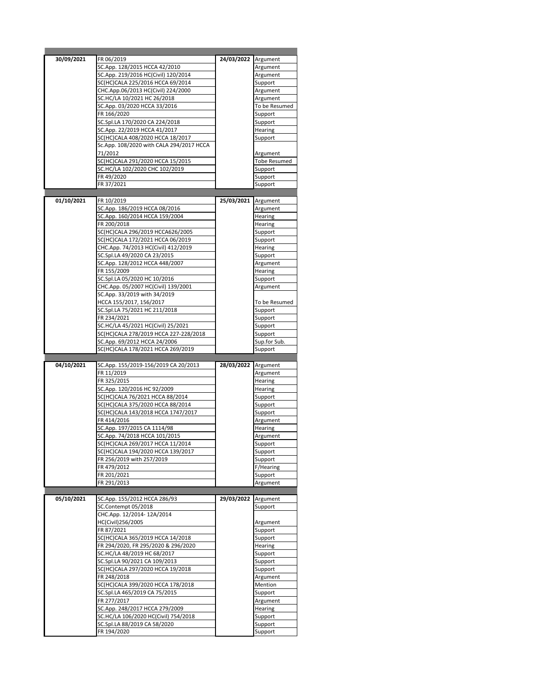| 30/09/2021 | FR 06/2019                                  | 24/03/2022 Argument |                     |
|------------|---------------------------------------------|---------------------|---------------------|
|            | SC.App. 128/2015 HCCA 42/2010               |                     | Argument            |
|            | SC.App. 219/2016 HC(Civil) 120/2014         |                     | Argument            |
|            | SC(HC)CALA 225/2016 HCCA 69/2014            |                     | Support             |
|            | CHC.App.06/2013 HC(Civil) 224/2000          |                     | Argument            |
|            |                                             |                     |                     |
|            | SC.HC/LA 10/2021 HC 26/2018                 |                     | Argument            |
|            | SC.App. 03/2020 HCCA 33/2016                |                     | To be Resumed       |
|            | FR 166/2020                                 |                     | Support             |
|            | SC.Spl.LA 170/2020 CA 224/2018              |                     | Support             |
|            | SC.App. 22/2019 HCCA 41/2017                |                     | Hearing             |
|            | SC(HC)CALA 408/2020 HCCA 18/2017            |                     | Support             |
|            | Sc.App. 108/2020 with CALA 294/2017 HCCA    |                     |                     |
|            | 71/2012                                     |                     | Argument            |
|            | SC(HC)CALA 291/2020 HCCA 15/2015            |                     | <b>Tobe Resumed</b> |
|            | SC.HC/LA 102/2020 CHC 102/2019              |                     | Support             |
|            |                                             |                     |                     |
|            | FR49/2020                                   |                     | Support             |
|            | FR 37/2021                                  |                     | Support             |
|            |                                             |                     |                     |
| 01/10/2021 | FR 10/2019                                  | 25/03/2021 Argument |                     |
|            | SC.App. 186/2019 HCCA 08/2016               |                     | Argument            |
|            | SC.App. 160/2014 HCCA 159/2004              |                     | Hearing             |
|            | FR 200/2018                                 |                     | Hearing             |
|            | SC(HC)CALA 296/2019 HCCA626/2005            |                     | Support             |
|            | SC(HC)CALA 172/2021 HCCA 06/2019            |                     | Support             |
|            |                                             |                     |                     |
|            | CHC.App. 74/2013 HC(Civil) 412/2019         |                     | Hearing             |
|            | SC.Spl.LA 49/2020 CA 23/2015                |                     | Support             |
|            | SC.App. 128/2012 HCCA 448/2007              |                     | Argument            |
|            | FR 155/2009                                 |                     | Hearing             |
|            | SC.Spl.LA 05/2020 HC 10/2016                |                     | Support             |
|            | CHC.App. 05/2007 HC(Civil) 139/2001         |                     | Argument            |
|            | SC.App. 33/2019 with 34/2019                |                     |                     |
|            | HCCA 155/2017, 156/2017                     |                     | To be Resumed       |
|            | SC.Spl.LA 75/2021 HC 211/2018               |                     | Support             |
|            | FR 234/2021                                 |                     | Support             |
|            |                                             |                     |                     |
|            | SC.HC/LA 45/2021 HC(Civil) 25/2021          |                     | Support             |
|            | SC(HC)CALA 278/2019 HCCA 227-228/2018       |                     | Support             |
|            | SC.App. 69/2012 HCCA 24/2006                |                     | Sup.for Sub.        |
|            | SC(HC)CALA 178/2021 HCCA 269/2019           |                     | Support             |
|            |                                             |                     |                     |
|            |                                             |                     |                     |
| 04/10/2021 | SC.App. 155/2019-156/2019 CA 20/2013        | 28/03/2022          | Argument            |
|            | FR 11/2019                                  |                     | Argument            |
|            |                                             |                     |                     |
|            | FR 325/2015                                 |                     | Hearing             |
|            | SC.App. 120/2016 HC 92/2009                 |                     | Hearing             |
|            | SC(HC)CALA 76/2021 HCCA 88/2014             |                     | Support             |
|            | SC(HC)CALA 375/2020 HCCA 88/2014            |                     | Support             |
|            | SC(HC)CALA 143/2018 HCCA 1747/2017          |                     | Support             |
|            | FR 414/2016                                 |                     | Argument            |
|            | SC.App. 197/2015 CA 1114/98                 |                     | Hearing             |
|            | SC.App. 74/2018 HCCA 101/2015               |                     | Argument            |
|            | SC(HC)CALA 269/2017 HCCA 11/2014            |                     | Support             |
|            | SC(HC)CALA 194/2020 HCCA 139/2017           |                     | Support             |
|            | FR 256/2019 with 257/2019                   |                     |                     |
|            | FR 479/2012                                 |                     | Support             |
|            |                                             |                     | F/Hearing           |
|            | FR 201/2021                                 |                     | Support             |
|            | FR 291/2013                                 |                     | Argument            |
|            |                                             |                     |                     |
| 05/10/2021 | SC.App. 155/2012 HCCA 286/93                | 29/03/2022 Argument |                     |
|            | SC.Contempt 05/2018                         |                     | Support             |
|            | CHC.App. 12/2014-12A/2014                   |                     |                     |
|            | HC(Civil)256/2005                           |                     | Argument            |
|            | FR 87/2021                                  |                     | Support             |
|            | SC(HC)CALA 365/2019 HCCA 14/2018            |                     | Support             |
|            | FR 294/2020, FR 295/2020 & 296/2020         |                     | Hearing             |
|            |                                             |                     |                     |
|            | SC.HC/LA 48/2019 HC 68/2017                 |                     | Support             |
|            | SC.Spl.LA 90/2021 CA 109/2013               |                     | Support             |
|            | SC(HC)CALA 297/2020 HCCA 19/2018            |                     | Support             |
|            | FR 248/2018                                 |                     | Argument            |
|            | SC(HC)CALA 399/2020 HCCA 178/2018           |                     | Mention             |
|            | SC.Spl.LA 465/2019 CA 75/2015               |                     | Support             |
|            | FR 277/2017                                 |                     | Argument            |
|            | SC.App. 248/2017 HCCA 279/2009              |                     | Hearing             |
|            | SC.HC/LA 106/2020 HC(Civil) 754/2018        |                     | Support             |
|            |                                             |                     |                     |
|            | SC.Spl.LA 88/2019 CA 58/2020<br>FR 194/2020 |                     | Support<br>Support  |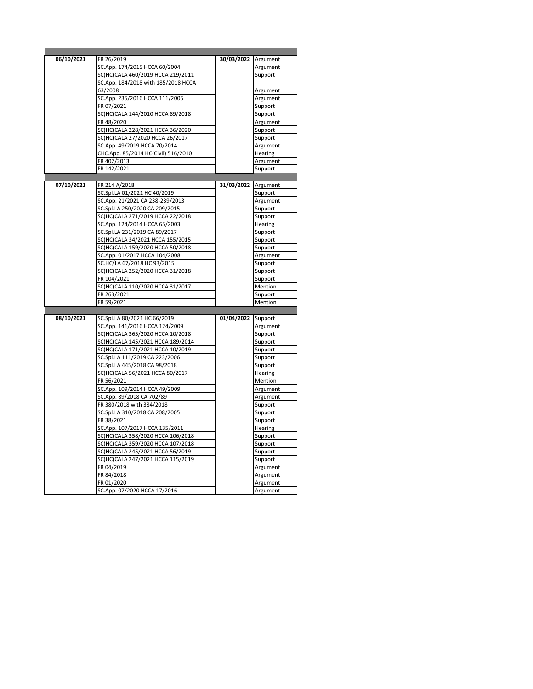| 06/10/2021 | FR 26/2019                                                            | 30/03/2022 Argument |                      |
|------------|-----------------------------------------------------------------------|---------------------|----------------------|
|            | SC.App. 174/2015 HCCA 60/2004                                         |                     | Argument             |
|            | SC(HC)CALA 460/2019 HCCA 219/2011                                     |                     | Support              |
|            | SC.App. 184/2018 with 185/2018 HCCA                                   |                     |                      |
|            | 63/2008                                                               |                     | Argument             |
|            | SC.App. 235/2016 HCCA 111/2006                                        |                     | Argument             |
|            | FR 07/2021                                                            |                     | Support              |
|            | SC(HC)CALA 144/2010 HCCA 89/2018                                      |                     | Support              |
|            | FR 48/2020                                                            |                     | Argument             |
|            | SC(HC)CALA 228/2021 HCCA 36/2020                                      |                     | Support              |
|            | SC(HC)CALA 27/2020 HCCA 26/2017                                       |                     | Support              |
|            | SC.App. 49/2019 HCCA 70/2014                                          |                     | Argument             |
|            | CHC.App. 85/2014 HC(Civil) 516/2010                                   |                     | Hearing              |
|            | FR 402/2013                                                           |                     | Argument             |
|            | FR 142/2021                                                           |                     | Support              |
|            |                                                                       |                     |                      |
| 07/10/2021 | FR 214 A/2018                                                         | 31/03/2022 Argument |                      |
|            | SC.Spl.LA 01/2021 HC 40/2019                                          |                     | Support              |
|            | SC.App. 21/2021 CA 238-239/2013                                       |                     | Argument             |
|            | SC.Spl.LA 250/2020 CA 209/2015                                        |                     | Support              |
|            | SC(HC)CALA 271/2019 HCCA 22/2018                                      |                     | Support              |
|            | SC.App. 124/2014 HCCA 65/2003                                         |                     | Hearing              |
|            | SC.Spl.LA 231/2019 CA 89/2017                                         |                     | Support              |
|            | SC(HC)CALA 34/2021 HCCA 155/2015                                      |                     | Support              |
|            | SC(HC)CALA 159/2020 HCCA 50/2018                                      |                     | Support              |
|            | SC.App. 01/2017 HCCA 104/2008                                         |                     | Argument             |
|            | SC.HC/LA 67/2018 HC 93/2015                                           |                     | Support              |
|            | SC(HC)CALA 252/2020 HCCA 31/2018                                      |                     | Support              |
|            | FR 104/2021                                                           |                     | Support              |
|            |                                                                       |                     |                      |
|            | SC(HC)CALA 110/2020 HCCA 31/2017                                      |                     | Mention              |
|            | FR 263/2021                                                           |                     | Support              |
|            | FR 59/2021                                                            |                     | Mention              |
|            |                                                                       |                     |                      |
| 08/10/2021 | SC.Spl.LA 80/2021 HC 66/2019                                          | 01/04/2022 Support  |                      |
|            | SC.App. 141/2016 HCCA 124/2009                                        |                     | Argument             |
|            | SC(HC)CALA 365/2020 HCCA 10/2018                                      |                     | Support              |
|            | SC(HC)CALA 145/2021 HCCA 189/2014                                     |                     | Support              |
|            | SC(HC)CALA 171/2021 HCCA 10/2019                                      |                     | Support              |
|            | SC.Spl.LA 111/2019 CA 223/2006                                        |                     | Support              |
|            | SC.Spl.LA 445/2018 CA 98/2018                                         |                     | Support              |
|            | SC(HC)CALA 56/2021 HCCA 80/2017                                       |                     | Hearing              |
|            | FR 56/2021                                                            |                     | Mention              |
|            | SC.App. 109/2014 HCCA 49/2009                                         |                     | Argument             |
|            | SC.App. 89/2018 CA 702/89                                             |                     | Argument             |
|            | FR 380/2018 with 384/2018                                             |                     | Support              |
|            | SC.Spl.LA 310/2018 CA 208/2005                                        |                     | Support              |
|            | FR 38/2021                                                            |                     | Support              |
|            | SC.App. 107/2017 HCCA 135/2011                                        |                     | Hearing              |
|            | SC(HC)CALA 358/2020 HCCA 106/2018                                     |                     | Support              |
|            | SC(HC)CALA 359/2020 HCCA 107/2018                                     |                     | Support              |
|            |                                                                       |                     | Support              |
|            | SC(HC)CALA 245/2021 HCCA 56/2019<br>SC(HC)CALA 247/2021 HCCA 115/2019 |                     |                      |
|            | FR 04/2019                                                            |                     | Support<br>Argument  |
|            | FR 84/2018                                                            |                     | Argument             |
|            | FR 01/2020                                                            |                     |                      |
|            | SC.App. 07/2020 HCCA 17/2016                                          |                     | Argument<br>Argument |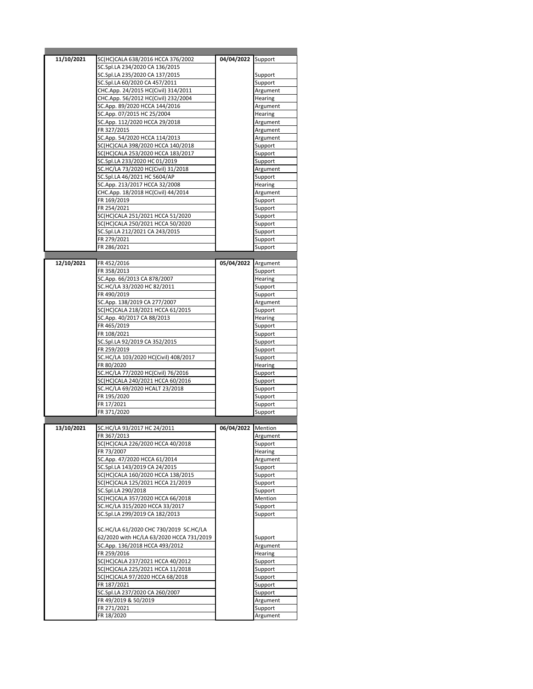| 11/10/2021 | SC(HC)CALA 638/2016 HCCA 376/2002        | 04/04/2022 Support  |                |
|------------|------------------------------------------|---------------------|----------------|
|            | SC.Spl.LA 234/2020 CA 136/2015           |                     |                |
|            | SC.Spl.LA 235/2020 CA 137/2015           |                     | Support        |
|            | SC.Spl.LA 60/2020 CA 457/2011            |                     | Support        |
|            | CHC.App. 24/2015 HC(Civil) 314/2011      |                     | Argument       |
|            | CHC.App. 56/2012 HC(Civil) 232/2004      |                     | Hearing        |
|            |                                          |                     |                |
|            | SC.App. 89/2020 HCCA 144/2016            |                     | Argument       |
|            | SC.App. 07/2015 HC 25/2004               |                     | Hearing        |
|            | SC.App. 112/2020 HCCA 29/2018            |                     | Argument       |
|            | FR 327/2015                              |                     | Argument       |
|            | SC.App. 54/2020 HCCA 114/2013            |                     | Argument       |
|            |                                          |                     |                |
|            | SC(HC)CALA 398/2020 HCCA 140/2018        |                     | Support        |
|            | SC(HC)CALA 253/2020 HCCA 183/2017        |                     | Support        |
|            | SC.Spl.LA 233/2020 HC 01/2019            |                     | Support        |
|            | SC.HC/LA 73/2020 HC(Civil) 31/2018       |                     | Argument       |
|            | SC.Spl.LA 46/2021 HC 5604/AP             |                     |                |
|            |                                          |                     | Support        |
|            | SC.App. 213/2017 HCCA 32/2008            |                     | Hearing        |
|            | CHC.App. 18/2018 HC(Civil) 44/2014       |                     | Argument       |
|            | FR 169/2019                              |                     | Support        |
|            | FR 254/2021                              |                     | Support        |
|            | SC(HC)CALA 251/2021 HCCA 51/2020         |                     |                |
|            |                                          |                     | Support        |
|            | SC(HC)CALA 250/2021 HCCA 50/2020         |                     | Support        |
|            | SC.Spl.LA 212/2021 CA 243/2015           |                     | Support        |
|            | FR 279/2021                              |                     | Support        |
|            | FR 286/2021                              |                     | Support        |
|            |                                          |                     |                |
|            |                                          |                     |                |
| 12/10/2021 | FR 452/2016                              | 05/04/2022 Argument |                |
|            | FR 358/2013                              |                     | Support        |
|            | SC.App. 66/2013 CA 878/2007              |                     | <b>Hearing</b> |
|            | SC.HC/LA 33/2020 HC 82/2011              |                     | Support        |
|            | FR 490/2019                              |                     |                |
|            |                                          |                     | Support        |
|            | SC.App. 138/2019 CA 277/2007             |                     | Argument       |
|            | SC(HC)CALA 218/2021 HCCA 61/2015         |                     | Support        |
|            | SC.App. 40/2017 CA 88/2013               |                     | Hearing        |
|            | FR 465/2019                              |                     | Support        |
|            | FR 108/2021                              |                     |                |
|            |                                          |                     | Support        |
|            | SC.Spl.LA 92/2019 CA 352/2015            |                     | Support        |
|            | FR 259/2019                              |                     | Support        |
|            |                                          |                     |                |
|            | SC.HC/LA 103/2020 HC(Civil) 408/2017     |                     |                |
|            |                                          |                     | Support        |
|            | FR 80/2020                               |                     | Hearing        |
|            | SC.HC/LA 77/2020 HC(Civil) 76/2016       |                     | Support        |
|            | SC(HC)CALA 240/2021 HCCA 60/2016         |                     | Support        |
|            | SC.HC/LA 69/2020 HCALT 23/2018           |                     | Support        |
|            | FR 195/2020                              |                     | Support        |
|            |                                          |                     |                |
|            | FR 17/2021                               |                     | Support        |
|            | FR 371/2020                              |                     | Support        |
|            |                                          |                     |                |
| 13/10/2021 | SC.HC/LA 93/2017 HC 24/2011              | 06/04/2022 Mention  |                |
|            | FR 367/2013                              |                     | Argument       |
|            |                                          |                     |                |
|            | SC(HC)CALA 226/2020 HCCA 40/2018         |                     | Support        |
|            | FR 73/2007                               |                     | Hearing        |
|            | SC.App. 47/2020 HCCA 61/2014             |                     | Argument       |
|            | SC.Spl.LA 143/2019 CA 24/2015            |                     | Support        |
|            | SC(HC)CALA 160/2020 HCCA 138/2015        |                     | Support        |
|            | SC(HC)CALA 125/2021 HCCA 21/2019         |                     | Support        |
|            |                                          |                     |                |
|            | SC.Spl.LA 290/2018                       |                     | Support        |
|            | SC(HC)CALA 357/2020 HCCA 66/2018         |                     | Mention        |
|            | SC.HC/LA 315/2020 HCCA 33/2017           |                     | Support        |
|            | SC.Spl.LA 299/2019 CA 182/2013           |                     | Support        |
|            |                                          |                     |                |
|            | SC.HC/LA 61/2020 CHC 730/2019 SC.HC/LA   |                     |                |
|            |                                          |                     |                |
|            | 62/2020 with HC/LA 63/2020 HCCA 731/2019 |                     | Support        |
|            | SC.App. 136/2018 HCCA 493/2012           |                     | Argument       |
|            | FR 259/2016                              |                     | Hearing        |
|            | SC(HC)CALA 237/2021 HCCA 40/2012         |                     | Support        |
|            | SC(HC)CALA 225/2021 HCCA 11/2018         |                     | Support        |
|            |                                          |                     |                |
|            | SC(HC)CALA 97/2020 HCCA 68/2018          |                     | Support        |
|            | FR 187/2021                              |                     | Support        |
|            | SC.Spl.LA 237/2020 CA 260/2007           |                     | Support        |
|            | FR 49/2019 & 50/2019                     |                     | Argument       |
|            | FR 271/2021                              |                     | Support        |
|            | FR 18/2020                               |                     | Argument       |